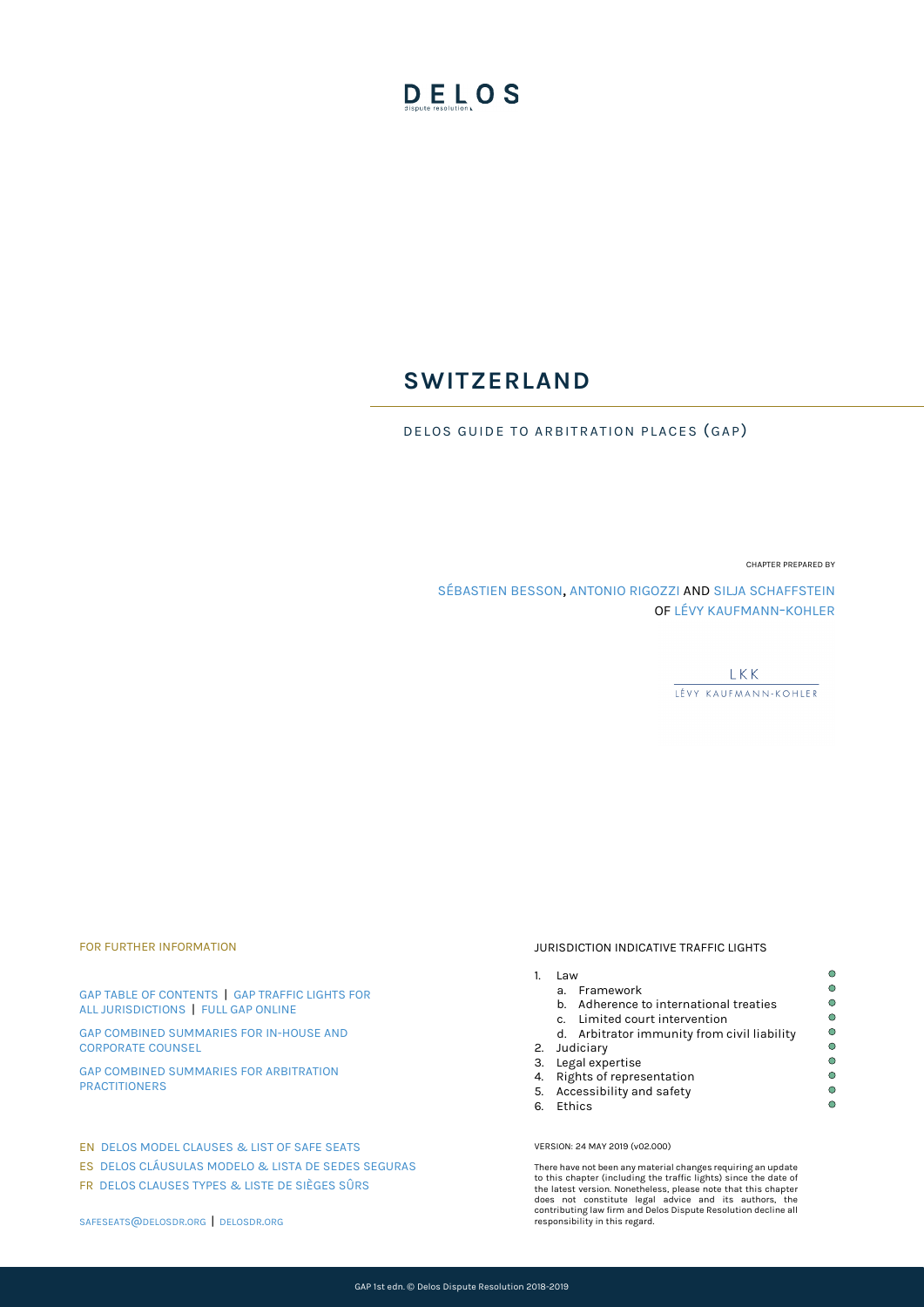# DELOS

# **SWITZERLAND**

DELOS GUIDE TO ARBITRATION PLACES (GAP)

CHAPTER PREPARED BY

[SÉBASTIEN BESSON,](mailto:sebastien.besson@lk-k.com) [ANTONIO RIGOZZI](mailto:Antonio.Rigozzi@lk-k.com) AND [SILJA SCHAFFSTEIN](mailto:Silja.Schaffstein@lk-k.com) O[F LÉVY KAUFMANN-KOHLER](https://lk-k.com/)

> **LKK** LÉVY KAUFMANN-KOHLER

#### FOR FURTHER INFORMATION

[GAP TABLE OF CONTENTS](https://delosdr.org/index.php/gap/) | [GAP TRAFFIC LIGHTS FOR](https://delosdr.org/wp-content/uploads/2018/05/Delos-GAP-1st-edn-Traffic-Lights-for-All-Jurisdictions.pdf)  [ALL JURISDICTIONS](https://delosdr.org/wp-content/uploads/2018/05/Delos-GAP-1st-edn-Traffic-Lights-for-All-Jurisdictions.pdf) | [FULL GAP ONLINE](https://delosdr.org/wp-content/uploads/2018/05/Delos-GAP-1st-edn-Full-GAP.pdf)

[GAP COMBINED SUMMARIES FOR IN-HOUSE AND](https://delosdr.org/wp-content/uploads/2018/05/Delos-GAP-1st-edn-Combined-Summaries-for-In-House-and-Corporate-Counsel.pdf)  [CORPORATE COUNSEL](https://delosdr.org/wp-content/uploads/2018/05/Delos-GAP-1st-edn-Combined-Summaries-for-In-House-and-Corporate-Counsel.pdf) 

[GAP COMBINED SUMMARIES FOR ARBITRATION](https://delosdr.org/wp-content/uploads/2018/05/Delos-GAP-1st-edn-Combined-Summaries-for-Arbitration-Practitioners.pdf)  [PRACTITIONERS](https://delosdr.org/wp-content/uploads/2018/05/Delos-GAP-1st-edn-Combined-Summaries-for-Arbitration-Practitioners.pdf) 

#### EN [DELOS MODEL CLAUSES & LIST OF SAFE SEATS](https://delosdr.org/index.php/model-clauses/)

ES [DELOS CLÁUSULAS MODELO & LISTA DE SEDES SEGURAS](https://delosdr.org/index.php/model-clauses_es/) 

FR [DELOS CLAUSES TYPES & LISTE DE SIÈGES SÛRS](https://delosdr.org/index.php/model-clauses_fr/)

JURISDICTION INDICATIVE TRAFFIC LIGHTS

## 1. Law

- a. Framework
	- b. Adherence to international treaties
	- c. Limited court intervention
- d. Arbitrator immunity from civil liability
- 2. Judiciary
- 3. Legal expertise
- 4. Rights of representation
- 5. Accessibility and safety
- 6. Ethics

#### VERSION: 24 MAY 2019 (v02.000)

There have not been any material changes requiring an update to this chapter (including the traffic lights) since the date of<br>the latest version. Nonetheless, please note that this chapter<br>does not constitute legal advice and its authors, the<br>does not constituting law firm and Delos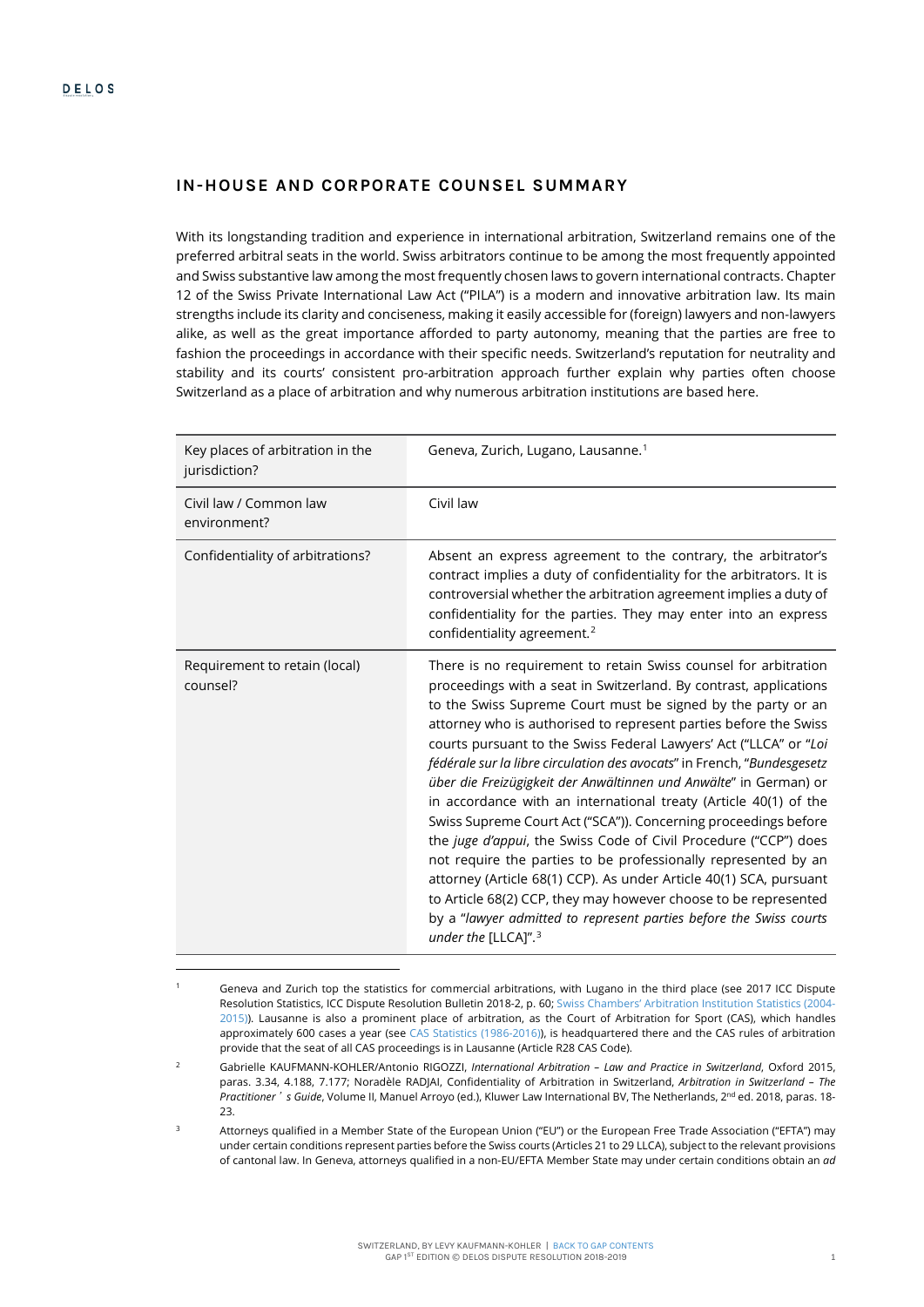$\overline{a}$ 

# **IN-HOUSE AND CORPORATE COUNSEL SUMMARY**

With its longstanding tradition and experience in international arbitration, Switzerland remains one of the preferred arbitral seats in the world. Swiss arbitrators continue to be among the most frequently appointed and Swiss substantive law among the most frequently chosen laws to govern international contracts. Chapter 12 of the Swiss Private International Law Act ("PILA") is a modern and innovative arbitration law. Its main strengths include its clarity and conciseness, making it easily accessible for (foreign) lawyers and non-lawyers alike, as well as the great importance afforded to party autonomy, meaning that the parties are free to fashion the proceedings in accordance with their specific needs. Switzerland's reputation for neutrality and stability and its courts' consistent pro-arbitration approach further explain why parties often choose Switzerland as a place of arbitration and why numerous arbitration institutions are based here.

<span id="page-1-3"></span>

| Key places of arbitration in the<br>jurisdiction? | Geneva, Zurich, Lugano, Lausanne. <sup>1</sup>                                                                                                                                                                                                                                                                                                                                                                                                                                                                                                                                                                                                                                                                                                                                                                                                                                                                                                                                                                               |
|---------------------------------------------------|------------------------------------------------------------------------------------------------------------------------------------------------------------------------------------------------------------------------------------------------------------------------------------------------------------------------------------------------------------------------------------------------------------------------------------------------------------------------------------------------------------------------------------------------------------------------------------------------------------------------------------------------------------------------------------------------------------------------------------------------------------------------------------------------------------------------------------------------------------------------------------------------------------------------------------------------------------------------------------------------------------------------------|
| Civil law / Common law<br>environment?            | Civil law                                                                                                                                                                                                                                                                                                                                                                                                                                                                                                                                                                                                                                                                                                                                                                                                                                                                                                                                                                                                                    |
| Confidentiality of arbitrations?                  | Absent an express agreement to the contrary, the arbitrator's<br>contract implies a duty of confidentiality for the arbitrators. It is<br>controversial whether the arbitration agreement implies a duty of<br>confidentiality for the parties. They may enter into an express<br>confidentiality agreement. <sup>2</sup>                                                                                                                                                                                                                                                                                                                                                                                                                                                                                                                                                                                                                                                                                                    |
| Requirement to retain (local)<br>counsel?         | There is no requirement to retain Swiss counsel for arbitration<br>proceedings with a seat in Switzerland. By contrast, applications<br>to the Swiss Supreme Court must be signed by the party or an<br>attorney who is authorised to represent parties before the Swiss<br>courts pursuant to the Swiss Federal Lawyers' Act ("LLCA" or "Loi<br>fédérale sur la libre circulation des avocats" in French, "Bundesgesetz<br>über die Freizügigkeit der Anwältinnen und Anwälte" in German) or<br>in accordance with an international treaty (Article 40(1) of the<br>Swiss Supreme Court Act ("SCA")). Concerning proceedings before<br>the juge d'appui, the Swiss Code of Civil Procedure ("CCP") does<br>not require the parties to be professionally represented by an<br>attorney (Article 68(1) CCP). As under Article 40(1) SCA, pursuant<br>to Article 68(2) CCP, they may however choose to be represented<br>by a "lawyer admitted to represent parties before the Swiss courts<br>under the [LLCA]". <sup>3</sup> |

<span id="page-1-0"></span><sup>1</sup> Geneva and Zurich top the statistics for commercial arbitrations, with Lugano in the third place (see 2017 ICC Dispute Resolution Statistics, ICC Dispute Resolution Bulletin 2018-2, p. 60[; Swiss Chambers' Arbitration Institution Statistics \(2004-](https://www.swissarbitration.org/files/515/Statistics/SCAI%20Statistics%202015%20and%202004_2015_20160731.pdf) [2015\)\).](https://www.swissarbitration.org/files/515/Statistics/SCAI%20Statistics%202015%20and%202004_2015_20160731.pdf) Lausanne is also a prominent place of arbitration, as the Court of Arbitration for Sport (CAS), which handles approximately 600 cases a year (see [CAS Statistics \(1986-2016\)\),](https://www.tas-cas.org/fileadmin/user_upload/CAS_statistics_2016_.pdf) is headquartered there and the CAS rules of arbitration provide that the seat of all CAS proceedings is in Lausanne (Article R28 CAS Code).

<span id="page-1-1"></span><sup>2</sup> Gabrielle KAUFMANN-KOHLER/Antonio RIGOZZI, *International Arbitration – Law and Practice in Switzerland*, Oxford 2015, paras. 3.34, 4.188, 7.177; Noradèle RADJAI, Confidentiality of Arbitration in Switzerland, *Arbitration in Switzerland – The*  Practitioner<sup>'</sup> *s Guide*, Volume II, Manuel Arroyo (ed.), Kluwer Law International BV, The Netherlands, 2<sup>nd</sup> ed. 2018, paras. 18-23.

<span id="page-1-2"></span>Attorneys qualified in a Member State of the European Union ("EU") or the European Free Trade Association ("EFTA") may under certain conditions represent parties before the Swiss courts (Articles 21 to 29 LLCA), subject to the relevant provisions of cantonal law. In Geneva, attorneys qualified in a non-EU/EFTA Member State may under certain conditions obtain an *ad*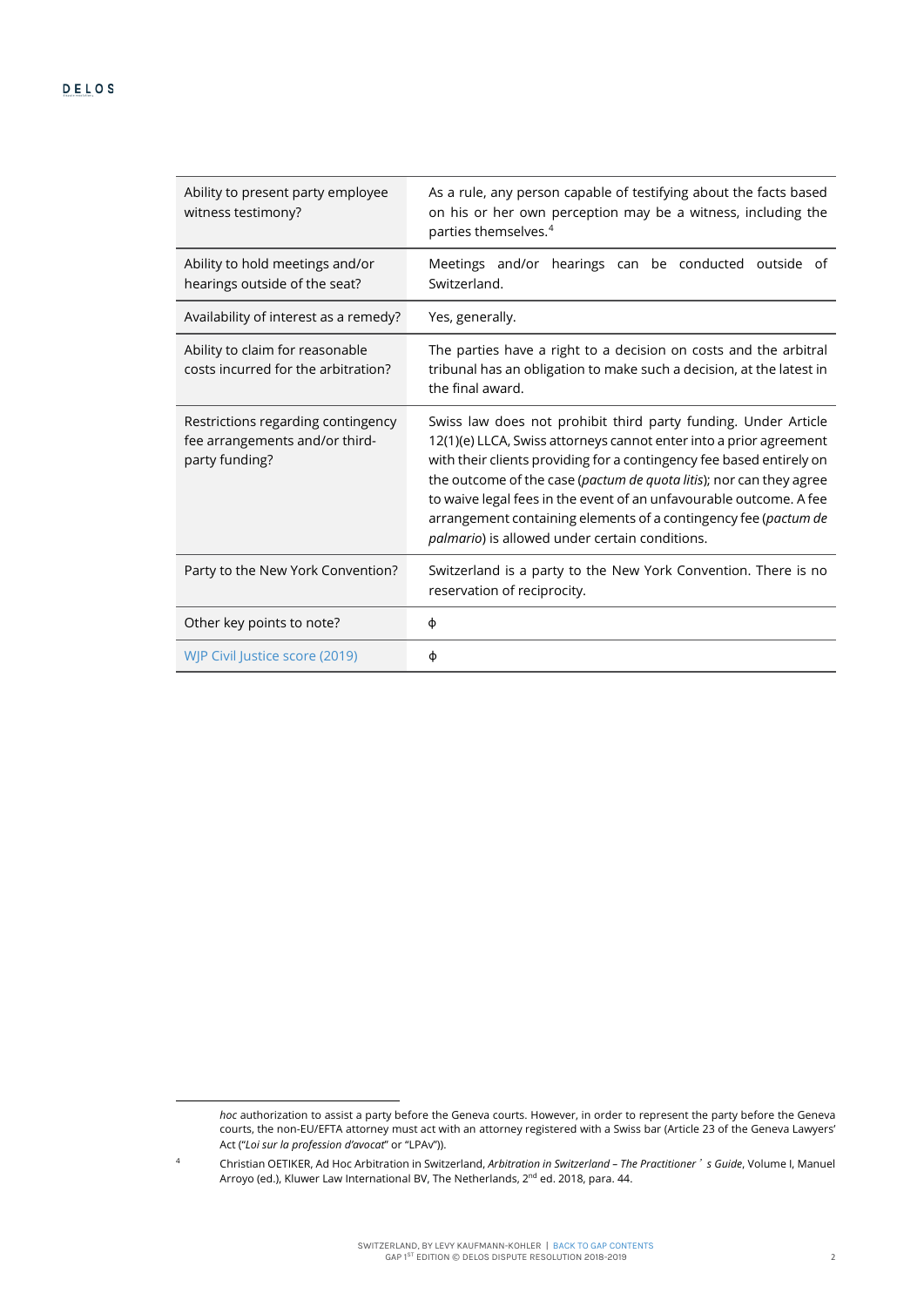| Ability to present party employee<br>witness testimony?                                | As a rule, any person capable of testifying about the facts based<br>on his or her own perception may be a witness, including the<br>parties themselves. <sup>4</sup>                                                                                                                                                                                                                                                                                                          |
|----------------------------------------------------------------------------------------|--------------------------------------------------------------------------------------------------------------------------------------------------------------------------------------------------------------------------------------------------------------------------------------------------------------------------------------------------------------------------------------------------------------------------------------------------------------------------------|
| Ability to hold meetings and/or<br>hearings outside of the seat?                       | Meetings and/or hearings can be conducted outside of<br>Switzerland.                                                                                                                                                                                                                                                                                                                                                                                                           |
| Availability of interest as a remedy?                                                  | Yes, generally.                                                                                                                                                                                                                                                                                                                                                                                                                                                                |
| Ability to claim for reasonable<br>costs incurred for the arbitration?                 | The parties have a right to a decision on costs and the arbitral<br>tribunal has an obligation to make such a decision, at the latest in<br>the final award.                                                                                                                                                                                                                                                                                                                   |
| Restrictions regarding contingency<br>fee arrangements and/or third-<br>party funding? | Swiss law does not prohibit third party funding. Under Article<br>12(1)(e) LLCA, Swiss attorneys cannot enter into a prior agreement<br>with their clients providing for a contingency fee based entirely on<br>the outcome of the case (pactum de quota litis); nor can they agree<br>to waive legal fees in the event of an unfavourable outcome. A fee<br>arrangement containing elements of a contingency fee (pactum de<br>palmario) is allowed under certain conditions. |
| Party to the New York Convention?                                                      | Switzerland is a party to the New York Convention. There is no<br>reservation of reciprocity.                                                                                                                                                                                                                                                                                                                                                                                  |
| Other key points to note?                                                              | φ                                                                                                                                                                                                                                                                                                                                                                                                                                                                              |
| WJP Civil Justice score (2019)                                                         | φ                                                                                                                                                                                                                                                                                                                                                                                                                                                                              |

*hoc* authorization to assist a party before the Geneva courts. However, in order to represent the party before the Geneva courts, the non-EU/EFTA attorney must act with an attorney registered with a Swiss bar (Article 23 of the Geneva Lawyers' Act ("*Loi sur la profession d'avocat*" or "LPAv")).

<span id="page-2-0"></span><sup>4</sup> Christian OETIKER, Ad Hoc Arbitration in Switzerland, *Arbitration in Switzerland – The Practitioner*'*s Guide*, Volume I, Manuel Arroyo (ed.), Kluwer Law International BV, The Netherlands, 2<sup>nd</sup> ed. 2018, para. 44.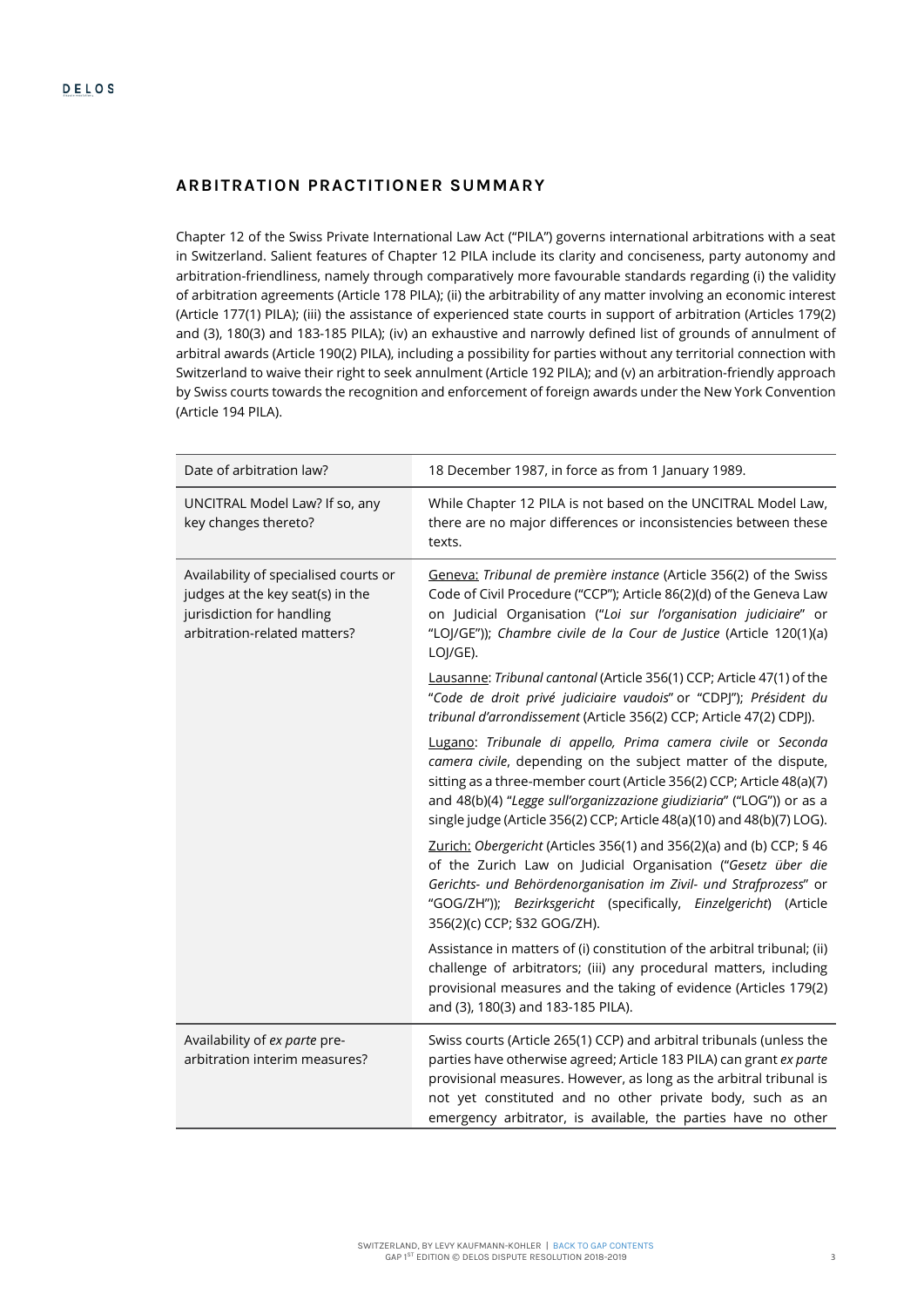# **ARBITRATION PRACTITIONER SUMMARY**

Chapter 12 of the Swiss Private International Law Act ("PILA") governs international arbitrations with a seat in Switzerland. Salient features of Chapter 12 PILA include its clarity and conciseness, party autonomy and arbitration-friendliness, namely through comparatively more favourable standards regarding (i) the validity of arbitration agreements (Article 178 PILA); (ii) the arbitrability of any matter involving an economic interest (Article 177(1) PILA); (iii) the assistance of experienced state courts in support of arbitration (Articles 179(2) and (3), 180(3) and 183-185 PILA); (iv) an exhaustive and narrowly defined list of grounds of annulment of arbitral awards (Article 190(2) PILA), including a possibility for parties without any territorial connection with Switzerland to waive their right to seek annulment (Article 192 PILA); and (v) an arbitration-friendly approach by Swiss courts towards the recognition and enforcement of foreign awards under the New York Convention (Article 194 PILA).

| Date of arbitration law?                                                                                                               | 18 December 1987, in force as from 1 January 1989.                                                                                                                                                                                                                                                                                                         |
|----------------------------------------------------------------------------------------------------------------------------------------|------------------------------------------------------------------------------------------------------------------------------------------------------------------------------------------------------------------------------------------------------------------------------------------------------------------------------------------------------------|
| UNCITRAL Model Law? If so, any<br>key changes thereto?                                                                                 | While Chapter 12 PILA is not based on the UNCITRAL Model Law,<br>there are no major differences or inconsistencies between these<br>texts.                                                                                                                                                                                                                 |
| Availability of specialised courts or<br>judges at the key seat(s) in the<br>jurisdiction for handling<br>arbitration-related matters? | Geneva: Tribunal de première instance (Article 356(2) of the Swiss<br>Code of Civil Procedure ("CCP"); Article 86(2)(d) of the Geneva Law<br>on Judicial Organisation ("Loi sur l'organisation judiciaire" or<br>"LOJ/GE")); Chambre civile de la Cour de Justice (Article 120(1)(a)<br>LOJ/GE).                                                           |
|                                                                                                                                        | Lausanne: Tribunal cantonal (Article 356(1) CCP; Article 47(1) of the<br>"Code de droit privé judiciaire vaudois" or "CDPJ"); Président du<br>tribunal d'arrondissement (Article 356(2) CCP; Article 47(2) CDPJ).                                                                                                                                          |
|                                                                                                                                        | Lugano: Tribunale di appello, Prima camera civile or Seconda<br>camera civile, depending on the subject matter of the dispute,<br>sitting as a three-member court (Article 356(2) CCP; Article 48(a)(7)<br>and 48(b)(4) "Legge sull'organizzazione giudiziaria" ("LOG")) or as a<br>single judge (Article 356(2) CCP; Article 48(a)(10) and 48(b)(7) LOG). |
|                                                                                                                                        | Zurich: Obergericht (Articles 356(1) and 356(2)(a) and (b) CCP; § 46<br>of the Zurich Law on Judicial Organisation ("Gesetz über die<br>Gerichts- und Behördenorganisation im Zivil- und Strafprozess" or<br>"GOG/ZH")); Bezirksgericht (specifically, Einzelgericht) (Article<br>356(2)(c) CCP; §32 GOG/ZH).                                              |
|                                                                                                                                        | Assistance in matters of (i) constitution of the arbitral tribunal; (ii)<br>challenge of arbitrators; (iii) any procedural matters, including<br>provisional measures and the taking of evidence (Articles 179(2)<br>and (3), 180(3) and 183-185 PILA).                                                                                                    |
| Availability of ex parte pre-<br>arbitration interim measures?                                                                         | Swiss courts (Article 265(1) CCP) and arbitral tribunals (unless the<br>parties have otherwise agreed; Article 183 PILA) can grant ex parte<br>provisional measures. However, as long as the arbitral tribunal is<br>not yet constituted and no other private body, such as an<br>emergency arbitrator, is available, the parties have no other            |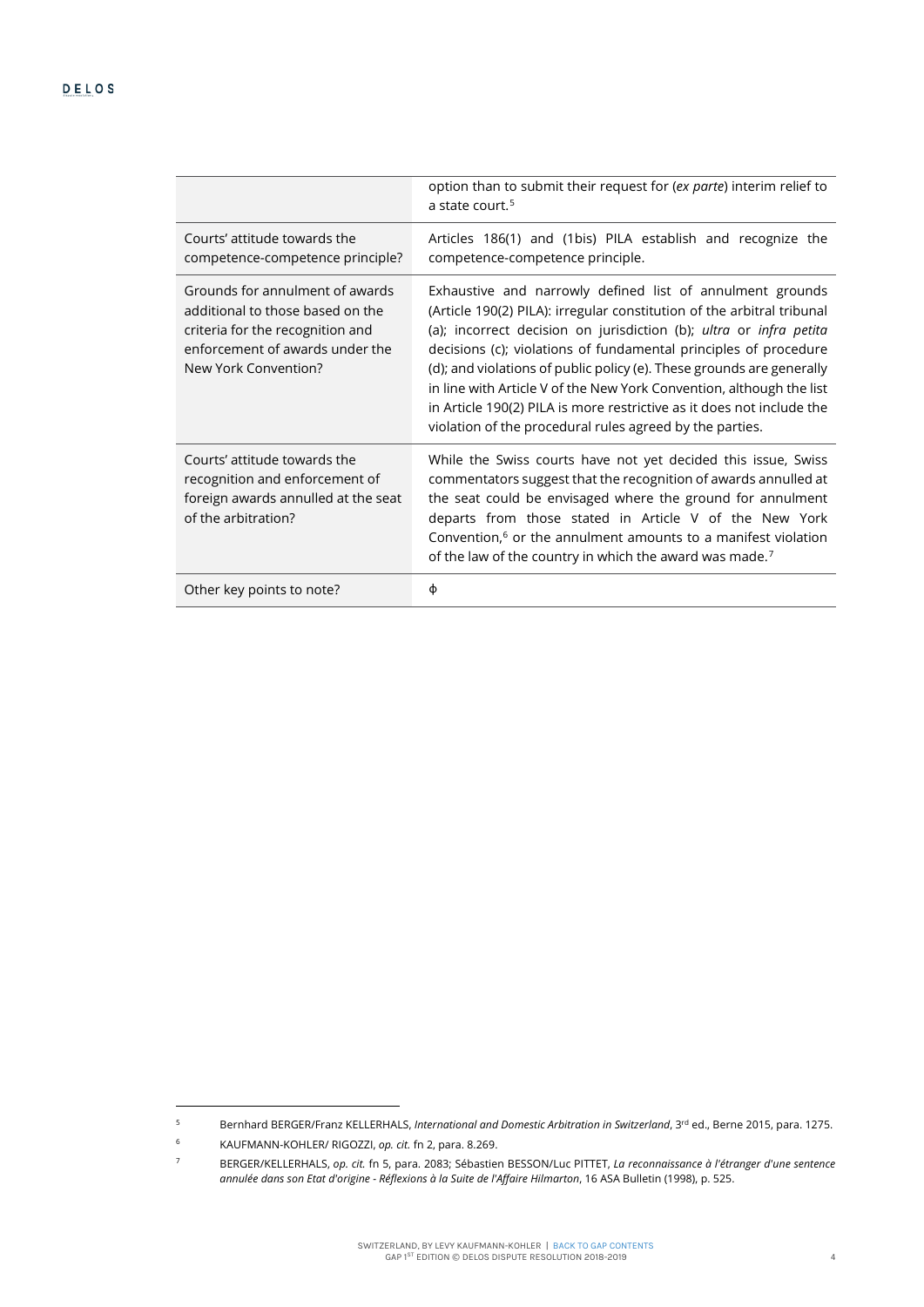<span id="page-4-0"></span>

|                                                                                                                                                                    | option than to submit their request for (ex parte) interim relief to<br>a state court. <sup>5</sup>                                                                                                                                                                                                                                                                                                                                                                                                                                                                 |
|--------------------------------------------------------------------------------------------------------------------------------------------------------------------|---------------------------------------------------------------------------------------------------------------------------------------------------------------------------------------------------------------------------------------------------------------------------------------------------------------------------------------------------------------------------------------------------------------------------------------------------------------------------------------------------------------------------------------------------------------------|
| Courts' attitude towards the<br>competence-competence principle?                                                                                                   | Articles 186(1) and (1bis) PILA establish and recognize the<br>competence-competence principle.                                                                                                                                                                                                                                                                                                                                                                                                                                                                     |
| Grounds for annulment of awards<br>additional to those based on the<br>criteria for the recognition and<br>enforcement of awards under the<br>New York Convention? | Exhaustive and narrowly defined list of annulment grounds<br>(Article 190(2) PILA): irregular constitution of the arbitral tribunal<br>(a); incorrect decision on jurisdiction (b); ultra or infra petita<br>decisions (c); violations of fundamental principles of procedure<br>(d); and violations of public policy (e). These grounds are generally<br>in line with Article V of the New York Convention, although the list<br>in Article 190(2) PILA is more restrictive as it does not include the<br>violation of the procedural rules agreed by the parties. |
| Courts' attitude towards the<br>recognition and enforcement of<br>foreign awards annulled at the seat<br>of the arbitration?                                       | While the Swiss courts have not yet decided this issue, Swiss<br>commentators suggest that the recognition of awards annulled at<br>the seat could be envisaged where the ground for annulment<br>departs from those stated in Article V of the New York<br>Convention, $6$ or the annulment amounts to a manifest violation<br>of the law of the country in which the award was made. <sup>7</sup>                                                                                                                                                                 |
| Other key points to note?                                                                                                                                          | Φ                                                                                                                                                                                                                                                                                                                                                                                                                                                                                                                                                                   |

<span id="page-4-1"></span><sup>5</sup> Bernhard BERGER/Franz KELLERHALS, *International and Domestic Arbitration in Switzerland*, 3rd ed., Berne 2015, para. 1275.

<sup>6</sup> KAUFMANN-KOHLER/ RIGOZZI, *op. cit.* f[n 2,](#page-1-3) para. 8.269.

<span id="page-4-3"></span><span id="page-4-2"></span><sup>7</sup> BERGER/KELLERHALS, *op. cit.* f[n 5,](#page-4-0) para. 2083; Sébastien BESSON/Luc PITTET, *La reconnaissance à l'étranger d'une sentence annulée dans son Etat d'origine - Réflexions à la Suite de l'Affaire Hilmarton*, 16 ASA Bulletin (1998), p. 525.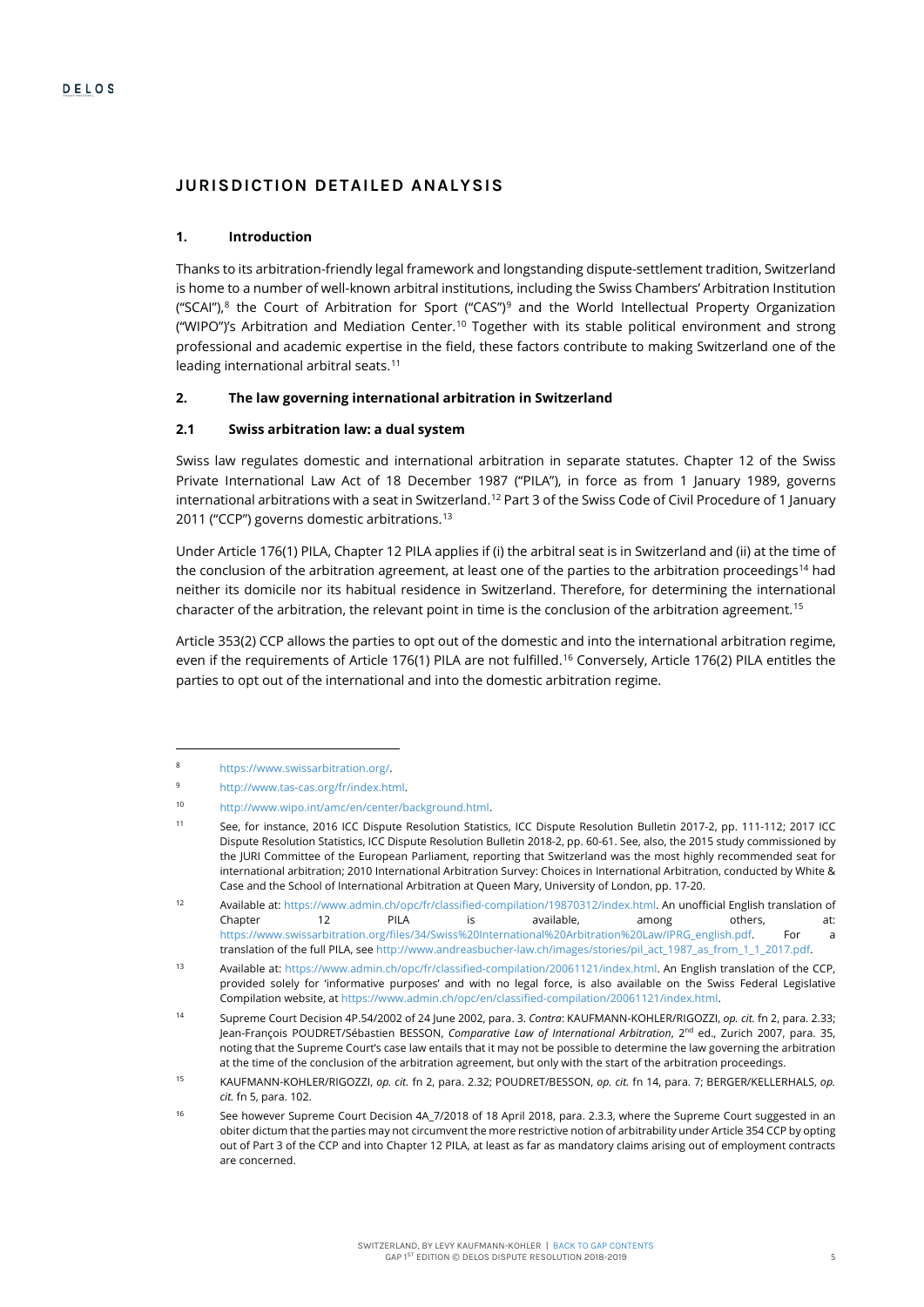# **JURISDICTION DETAILED ANALYSIS**

#### **1. Introduction**

Thanks to its arbitration-friendly legal framework and longstanding dispute-settlement tradition, Switzerland is home to a number of well-known arbitral institutions, including the Swiss Chambers' Arbitration Institution ("SCAI"),<sup>[8](#page-5-1)</sup> the Court of Arbitration for Sport ("CAS")<sup>[9](#page-5-2)</sup> and the World Intellectual Property Organization ("WIPO")'s Arbitration and Mediation Center.[10](#page-5-3) Together with its stable political environment and strong professional and academic expertise in the field, these factors contribute to making Switzerland one of the leading international arbitral seats.<sup>[11](#page-5-4)</sup>

# **2. The law governing international arbitration in Switzerland**

#### **2.1 Swiss arbitration law: a dual system**

Swiss law regulates domestic and international arbitration in separate statutes. Chapter 12 of the Swiss Private International Law Act of 18 December 1987 ("PILA"), in force as from 1 January 1989, governs international arbitrations with a seat in Switzerland.<sup>[12](#page-5-5)</sup> Part 3 of the Swiss Code of Civil Procedure of 1 January 2011 ("CCP") governs domestic arbitrations.<sup>[13](#page-5-6)</sup>

<span id="page-5-0"></span>Under Article 176(1) PILA, Chapter 12 PILA applies if (i) the arbitral seat is in Switzerland and (ii) at the time of the conclusion of the arbitration agreement, at least one of the parties to the arbitration proceedings<sup>[14](#page-5-7)</sup> had neither its domicile nor its habitual residence in Switzerland. Therefore, for determining the international character of the arbitration, the relevant point in time is the conclusion of the arbitration agreement.<sup>15</sup>

Article 353(2) CCP allows the parties to opt out of the domestic and into the international arbitration regime, even if the requirements of Article 176(1) PILA are not fulfilled.<sup>[16](#page-5-9)</sup> Conversely, Article 176(2) PILA entitles the parties to opt out of the international and into the domestic arbitration regime.

<span id="page-5-1"></span>https://www.swissarbitration.org/.

<sup>9</sup> http://www.tas-cas.org/fr/index.html.

<span id="page-5-3"></span><span id="page-5-2"></span><sup>10</sup> http://www.wipo.int/amc/en/center/background.html.

<span id="page-5-4"></span><sup>11</sup> See, for instance, 2016 ICC Dispute Resolution Statistics, ICC Dispute Resolution Bulletin 2017-2, pp. 111-112; 2017 ICC Dispute Resolution Statistics, ICC Dispute Resolution Bulletin 2018-2, pp. 60-61. See, also, the 2015 study commissioned by the JURI Committee of the European Parliament, reporting that Switzerland was the most highly recommended seat for international arbitration; 2010 International Arbitration Survey: Choices in International Arbitration, conducted by White & Case and the School of International Arbitration at Queen Mary, University of London, pp. 17-20.

<span id="page-5-5"></span><sup>12</sup> Available at: https://www.admin.ch/opc/fr/classified-compilation/19870312/index.html. An unofficial English translation of Chapter 12 PILA is available, among others, at: https://www.swissarbitration.org/files/34/Swiss%20International%20Arbitration%20Law/IPRG\_english.pdf. For translation of the full PILA, see http://www.andreasbucher-law.ch/images/stories/pil\_act\_1987\_as\_from\_1\_1\_2017.pdf.

<span id="page-5-6"></span><sup>13</sup> Available at: https://www.admin.ch/opc/fr/classified-compilation/20061121/index.html. An English translation of the CCP, provided solely for 'informative purposes' and with no legal force, is also available on the Swiss Federal Legislative Compilation website, at https://www.admin.ch/opc/en/classified-compilation/20061121/index.html.

<span id="page-5-7"></span><sup>14</sup> Supreme Court Decision 4P.54/2002 of 24 June 2002, para. 3. *Contra*: KAUFMANN-KOHLER/RIGOZZI, *op. cit.* f[n 2,](#page-1-3) para. 2.33; Jean-François POUDRET/Sébastien BESSON, *Comparative Law of International Arbitration*, 2nd ed., Zurich 2007, para. 35, noting that the Supreme Court's case law entails that it may not be possible to determine the law governing the arbitration at the time of the conclusion of the arbitration agreement, but only with the start of the arbitration proceedings.

<span id="page-5-8"></span><sup>15</sup> KAUFMANN-KOHLER/RIGOZZI, *op. cit.* f[n 2,](#page-1-3) para. 2.32; POUDRET/BESSON, *op. cit.* f[n 14,](#page-5-0) para. 7; BERGER/KELLERHALS, *op. cit.* f[n 5,](#page-4-0) para. 102.

<span id="page-5-9"></span><sup>16</sup> See however Supreme Court Decision 4A\_7/2018 of 18 April 2018, para. 2.3.3, where the Supreme Court suggested in an obiter dictum that the parties may not circumvent the more restrictive notion of arbitrability under Article 354 CCP by opting out of Part 3 of the CCP and into Chapter 12 PILA, at least as far as mandatory claims arising out of employment contracts are concerned.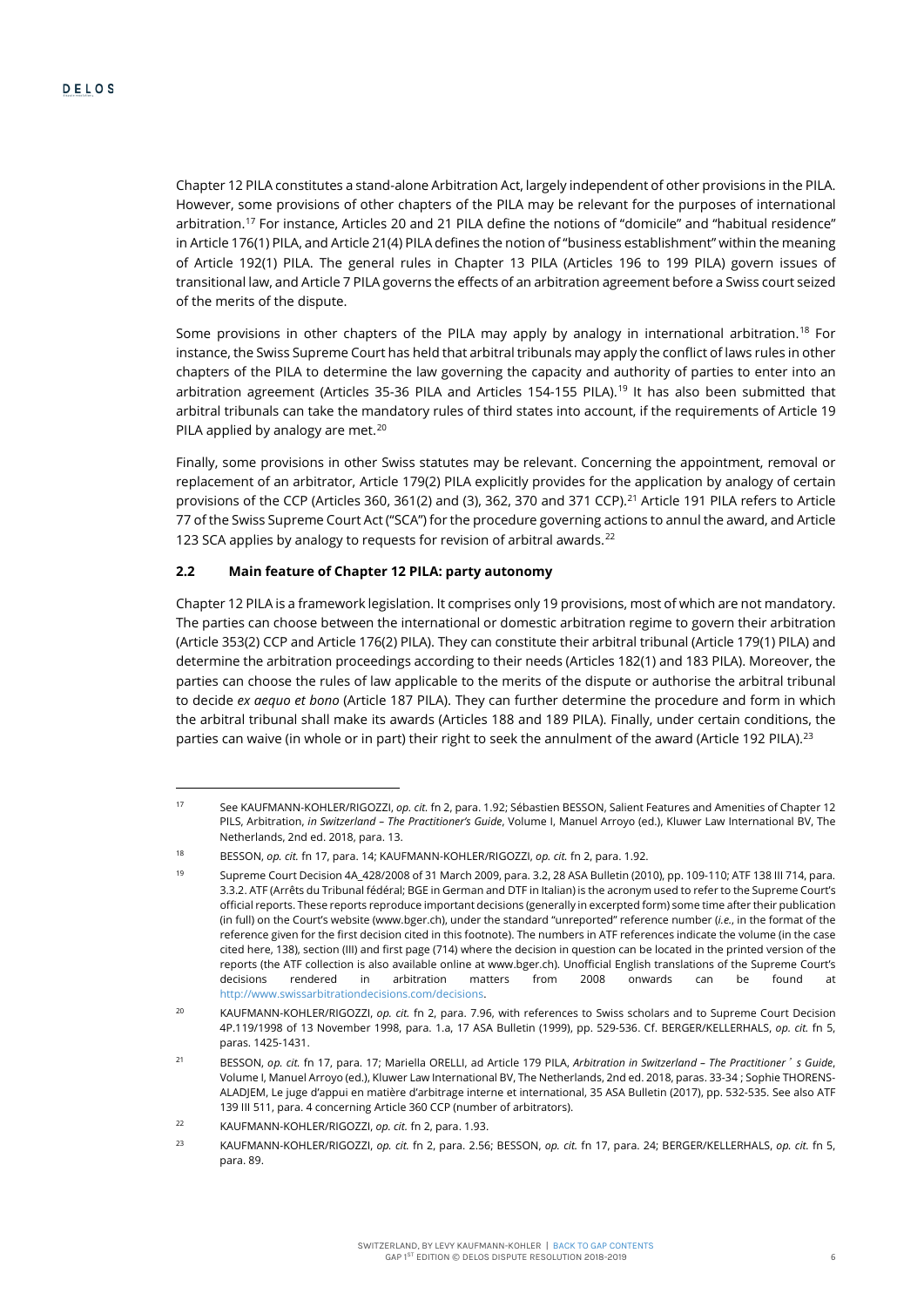<span id="page-6-0"></span>Chapter 12 PILA constitutes a stand-alone Arbitration Act, largely independent of other provisions in the PILA. However, some provisions of other chapters of the PILA may be relevant for the purposes of international arbitration[.17](#page-6-1) For instance, Articles 20 and 21 PILA define the notions of "domicile" and "habitual residence" in Article 176(1) PILA, and Article 21(4) PILA defines the notion of "business establishment" within the meaning of Article 192(1) PILA. The general rules in Chapter 13 PILA (Articles 196 to 199 PILA) govern issues of transitional law, and Article 7 PILA governs the effects of an arbitration agreement before a Swiss court seized of the merits of the dispute.

Some provisions in other chapters of the PILA may apply by analogy in international arbitration.<sup>18</sup> For instance, the Swiss Supreme Court has held that arbitral tribunals may apply the conflict of laws rules in other chapters of the PILA to determine the law governing the capacity and authority of parties to enter into an arbitration agreement (Articles 35-36 PILA and Articles 154-155 PILA).<sup>[19](#page-6-3)</sup> It has also been submitted that arbitral tribunals can take the mandatory rules of third states into account, if the requirements of Article 19 PILA applied by analogy are met.<sup>[20](#page-6-4)</sup>

<span id="page-6-8"></span>Finally, some provisions in other Swiss statutes may be relevant. Concerning the appointment, removal or replacement of an arbitrator, Article 179(2) PILA explicitly provides for the application by analogy of certain provisions of the CCP (Articles 360, 361(2) and (3), 362, 370 and 371 CCP).[21](#page-6-5) Article 191 PILA refers to Article 77 of the Swiss Supreme Court Act ("SCA") for the procedure governing actions to annul the award, and Article 123 SCA applies by analogy to requests for revision of arbitral awards.<sup>[22](#page-6-6)</sup>

# **2.2 Main feature of Chapter 12 PILA: party autonomy**

Chapter 12 PILA is a framework legislation. It comprises only 19 provisions, most of which are not mandatory. The parties can choose between the international or domestic arbitration regime to govern their arbitration (Article 353(2) CCP and Article 176(2) PILA). They can constitute their arbitral tribunal (Article 179(1) PILA) and determine the arbitration proceedings according to their needs (Articles 182(1) and 183 PILA). Moreover, the parties can choose the rules of law applicable to the merits of the dispute or authorise the arbitral tribunal to decide *ex aequo et bono* (Article 187 PILA). They can further determine the procedure and form in which the arbitral tribunal shall make its awards (Articles 188 and 189 PILA). Finally, under certain conditions, the parties can waive (in whole or in part) their right to seek the annulment of the award (Article 192 PILA).<sup>[23](#page-6-7)</sup>

<span id="page-6-9"></span>j

<span id="page-6-1"></span><sup>17</sup> See KAUFMANN-KOHLER/RIGOZZI, *op. cit.* f[n 2,](#page-1-3) para. 1.92; Sébastien BESSON, Salient Features and Amenities of Chapter 12 PILS, Arbitration, *in Switzerland – The Practitioner's Guide*, Volume I, Manuel Arroyo (ed.), Kluwer Law International BV, The Netherlands, 2nd ed. 2018, para. 13.

<span id="page-6-2"></span><sup>18</sup> BESSON, *op. cit.* f[n 17,](#page-6-0) para. 14; KAUFMANN-KOHLER/RIGOZZI, *op. cit.* f[n 2,](#page-1-3) para. 1.92.

<span id="page-6-3"></span><sup>19</sup> Supreme Court Decision 4A\_428/2008 of 31 March 2009, para. 3.2, 28 ASA Bulletin (2010), pp. 109-110; ATF 138 III 714, para. 3.3.2. ATF (Arrêts du Tribunal fédéral; BGE in German and DTF in Italian) is the acronym used to refer to the Supreme Court's official reports. These reports reproduce important decisions (generally in excerpted form) some time after their publication (in full) on the Court's website (www.bger.ch), under the standard "unreported" reference number (*i.e.*, in the format of the reference given for the first decision cited in this footnote). The numbers in ATF references indicate the volume (in the case cited here, 138), section (III) and first page (714) where the decision in question can be located in the printed version of the reports (the ATF collection is also available online at www.bger.ch). Unofficial English translations of the Supreme Court's decisions rendered in arbitration matters from 2008 onwards can be found at http://www.swissarbitrationdecisions.com/decisions.

<span id="page-6-4"></span><sup>20</sup> KAUFMANN-KOHLER/RIGOZZI, *op. cit.* fn [2,](#page-1-3) para. 7.96, with references to Swiss scholars and to Supreme Court Decision 4P.119/1998 of 13 November 1998, para. 1.a, 17 ASA Bulletin (1999), pp. 529-536. Cf. BERGER/KELLERHALS, *op. cit.* fn [5,](#page-4-0)  paras. 1425-1431.

<span id="page-6-5"></span><sup>21</sup> BESSON, *op. cit.* fn [17,](#page-6-0) para. 17; Mariella ORELLI, ad Article 179 PILA, *Arbitration in Switzerland – The Practitioner*'*s Guide*, Volume I, Manuel Arroyo (ed.), Kluwer Law International BV, The Netherlands, 2nd ed. 2018, paras. 33-34 ; Sophie THORENS-ALADJEM, Le juge d'appui en matière d'arbitrage interne et international, 35 ASA Bulletin (2017), pp. 532-535. See also ATF 139 III 511, para. 4 concerning Article 360 CCP (number of arbitrators).

<span id="page-6-6"></span><sup>22</sup> KAUFMANN-KOHLER/RIGOZZI, *op. cit.* f[n 2,](#page-1-3) para. 1.93.

<span id="page-6-7"></span><sup>23</sup> KAUFMANN-KOHLER/RIGOZZI, *op. cit.* fn [2,](#page-1-3) para. 2.56; BESSON, *op. cit.* f[n 17,](#page-6-0) para. 24; BERGER/KELLERHALS, *op. cit.* fn [5,](#page-4-0)  para. 89.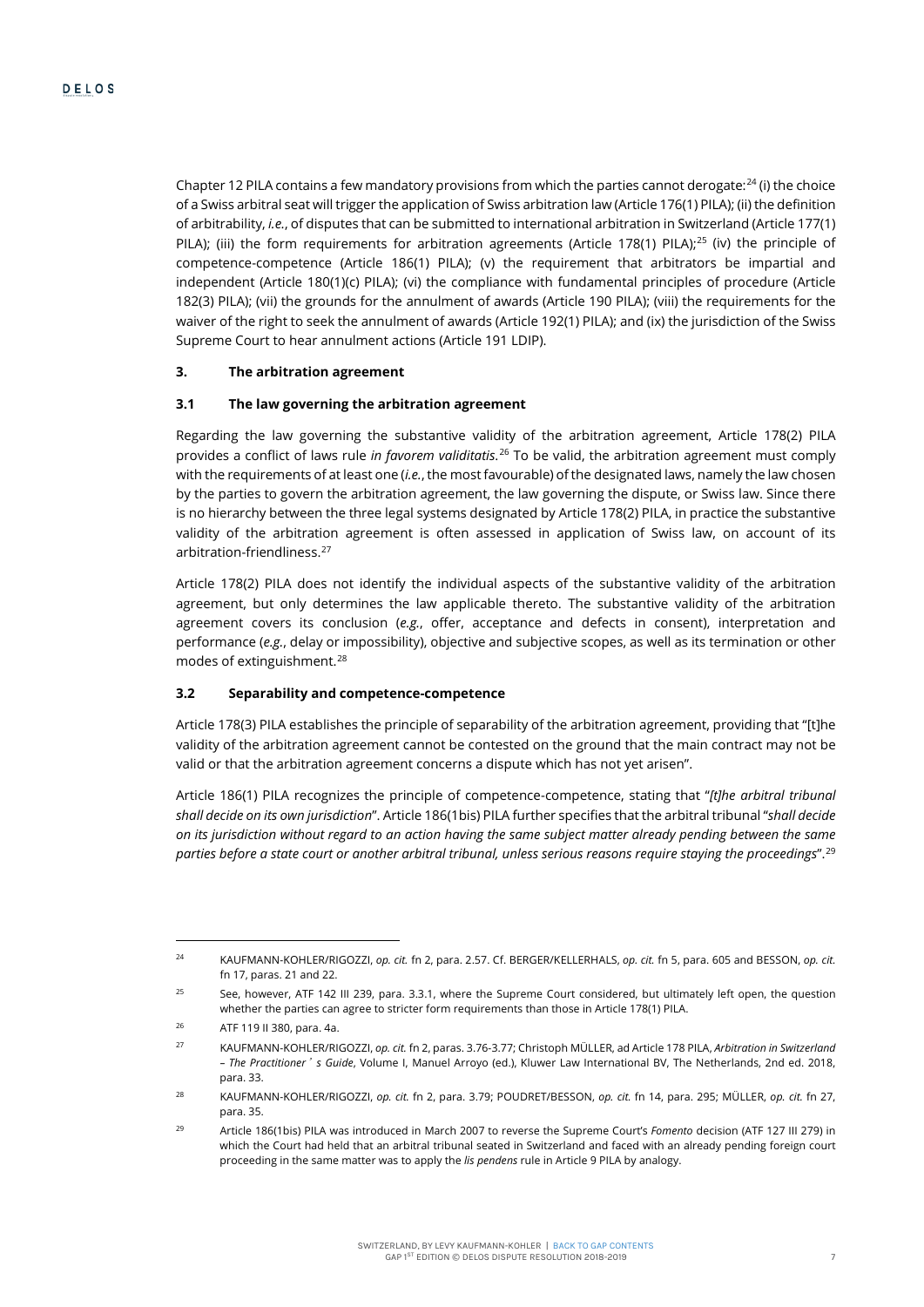Chapter 12 PILA contains a few mandatory provisions from which the parties cannot derogate: $24$  (i) the choice of a Swiss arbitral seat will trigger the application of Swiss arbitration law (Article 176(1) PILA); (ii) the definition of arbitrability, *i.e.*, of disputes that can be submitted to international arbitration in Switzerland (Article 177(1) PILA); (iii) the form requirements for arbitration agreements (Article 178(1) PILA);<sup>[25](#page-7-2)</sup> (iv) the principle of competence-competence (Article 186(1) PILA); (v) the requirement that arbitrators be impartial and independent (Article 180(1)(c) PILA); (vi) the compliance with fundamental principles of procedure (Article 182(3) PILA); (vii) the grounds for the annulment of awards (Article 190 PILA); (viii) the requirements for the waiver of the right to seek the annulment of awards (Article 192(1) PILA); and (ix) the jurisdiction of the Swiss Supreme Court to hear annulment actions (Article 191 LDIP).

# **3. The arbitration agreement**

#### **3.1 The law governing the arbitration agreement**

Regarding the law governing the substantive validity of the arbitration agreement, Article 178(2) PILA provides a conflict of laws rule *in favorem validitatis*. [26](#page-7-3) To be valid, the arbitration agreement must comply with the requirements of at least one (*i.e.*, the most favourable) of the designated laws, namely the law chosen by the parties to govern the arbitration agreement, the law governing the dispute, or Swiss law. Since there is no hierarchy between the three legal systems designated by Article 178(2) PILA, in practice the substantive validity of the arbitration agreement is often assessed in application of Swiss law, on account of its arbitration-friendliness.[27](#page-7-4)

<span id="page-7-0"></span>Article 178(2) PILA does not identify the individual aspects of the substantive validity of the arbitration agreement, but only determines the law applicable thereto. The substantive validity of the arbitration agreement covers its conclusion (*e.g.*, offer, acceptance and defects in consent), interpretation and performance (*e.g.*, delay or impossibility), objective and subjective scopes, as well as its termination or other modes of extinguishment.<sup>28</sup>

# **3.2 Separability and competence-competence**

Article 178(3) PILA establishes the principle of separability of the arbitration agreement, providing that "[t]he validity of the arbitration agreement cannot be contested on the ground that the main contract may not be valid or that the arbitration agreement concerns a dispute which has not yet arisen".

<span id="page-7-7"></span>Article 186(1) PILA recognizes the principle of competence-competence, stating that "*[t]he arbitral tribunal shall decide on its own jurisdiction*". Article 186(1bis) PILA further specifies that the arbitral tribunal "*shall decide on its jurisdiction without regard to an action having the same subject matter already pending between the same parties before a state court or another arbitral tribunal, unless serious reasons require staying the proceedings*".[29](#page-7-6)

<span id="page-7-1"></span><sup>24</sup> KAUFMANN-KOHLER/RIGOZZI, *op. cit.* f[n 2,](#page-1-3) para. 2.57. Cf. BERGER/KELLERHALS, *op. cit.* f[n 5,](#page-4-0) para. 605 and BESSON, *op. cit.*  f[n 17,](#page-6-0) paras. 21 and 22.

<span id="page-7-2"></span><sup>&</sup>lt;sup>25</sup> See, however, ATF 142 III 239, para. 3.3.1, where the Supreme Court considered, but ultimately left open, the question whether the parties can agree to stricter form requirements than those in Article 178(1) PILA.

<span id="page-7-3"></span><sup>26</sup> ATF 119 II 380, para. 4a.

<span id="page-7-4"></span><sup>27</sup> KAUFMANN-KOHLER/RIGOZZI, *op. cit.* f[n 2,](#page-1-3) paras. 3.76-3.77; Christoph MÜLLER, ad Article 178 PILA, *Arbitration in Switzerland – The Practitioner*'*s Guide*, Volume I, Manuel Arroyo (ed.), Kluwer Law International BV, The Netherlands, 2nd ed. 2018, para. 33.

<span id="page-7-5"></span><sup>28</sup> KAUFMANN-KOHLER/RIGOZZI, *op. cit.* fn [2,](#page-1-3) para. 3.79; POUDRET/BESSON, *op. cit.* fn [14,](#page-5-0) para. 295; MÜLLER, *op. cit.* fn [27,](#page-7-0)  para. 35.

<span id="page-7-6"></span><sup>29</sup> Article 186(1bis) PILA was introduced in March 2007 to reverse the Supreme Court's *Fomento* decision (ATF 127 III 279) in which the Court had held that an arbitral tribunal seated in Switzerland and faced with an already pending foreign court proceeding in the same matter was to apply the *lis pendens* rule in Article 9 PILA by analogy.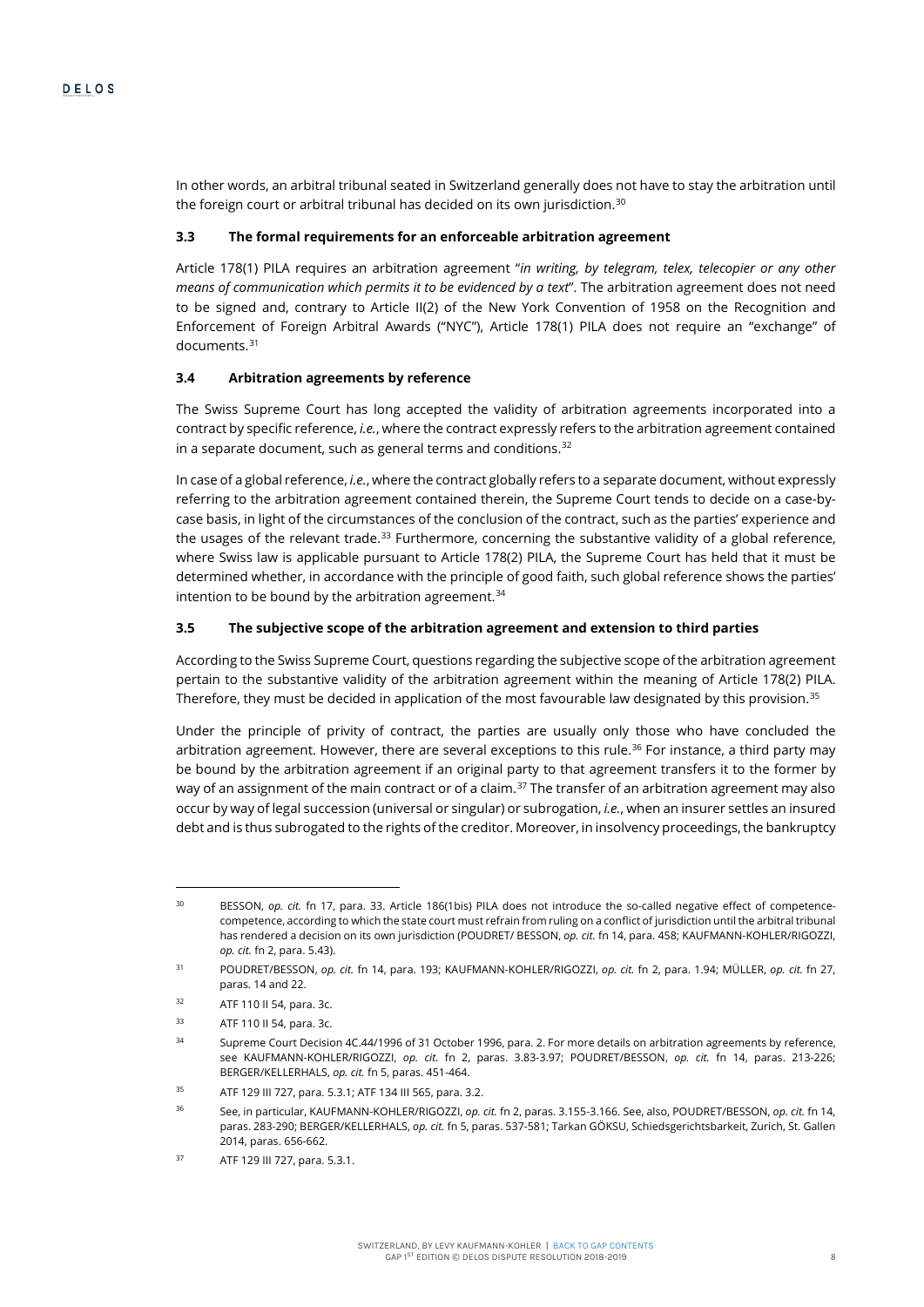In other words, an arbitral tribunal seated in Switzerland generally does not have to stay the arbitration until the foreign court or arbitral tribunal has decided on its own jurisdiction.<sup>[30](#page-8-0)</sup>

# **3.3 The formal requirements for an enforceable arbitration agreement**

Article 178(1) PILA requires an arbitration agreement "*in writing, by telegram, telex, telecopier or any other means of communication which permits it to be evidenced by a text*". The arbitration agreement does not need to be signed and, contrary to Article II(2) of the New York Convention of 1958 on the Recognition and Enforcement of Foreign Arbitral Awards ("NYC"), Article 178(1) PILA does not require an "exchange" of documents.[31](#page-8-1)

#### **3.4 Arbitration agreements by reference**

The Swiss Supreme Court has long accepted the validity of arbitration agreements incorporated into a contract by specific reference, *i.e.*, where the contract expressly refers to the arbitration agreement contained in a separate document, such as general terms and conditions. $32$ 

In case of a global reference, *i.e.*, where the contract globally refers to a separate document, without expressly referring to the arbitration agreement contained therein, the Supreme Court tends to decide on a case-bycase basis, in light of the circumstances of the conclusion of the contract, such as the parties' experience and the usages of the relevant trade.<sup>[33](#page-8-3)</sup> Furthermore, concerning the substantive validity of a global reference, where Swiss law is applicable pursuant to Article 178(2) PILA, the Supreme Court has held that it must be determined whether, in accordance with the principle of good faith, such global reference shows the parties' intention to be bound by the arbitration agreement.<sup>[34](#page-8-4)</sup>

#### **3.5 The subjective scope of the arbitration agreement and extension to third parties**

According to the Swiss Supreme Court, questions regarding the subjective scope of the arbitration agreement pertain to the substantive validity of the arbitration agreement within the meaning of Article 178(2) PILA. Therefore, they must be decided in application of the most favourable law designated by this provision.<sup>[35](#page-8-5)</sup>

<span id="page-8-8"></span>Under the principle of privity of contract, the parties are usually only those who have concluded the arbitration agreement. However, there are several exceptions to this rule.<sup>36</sup> For instance, a third party may be bound by the arbitration agreement if an original party to that agreement transfers it to the former by way of an assignment of the main contract or of a claim.<sup>[37](#page-8-7)</sup> The transfer of an arbitration agreement may also occur by way of legal succession (universal or singular) or subrogation, *i.e.*, when an insurer settles an insured debt and is thus subrogated to the rights of the creditor. Moreover, in insolvency proceedings, the bankruptcy

<span id="page-8-0"></span><sup>30</sup> BESSON, *op. cit.* fn [17,](#page-6-0) para. 33. Article 186(1bis) PILA does not introduce the so-called negative effect of competencecompetence, according to which the state court must refrain from ruling on a conflict of jurisdiction until the arbitral tribunal has rendered a decision on its own jurisdiction (POUDRET/ BESSON, *op. cit.* f[n 14,](#page-5-0) para. 458; KAUFMANN-KOHLER/RIGOZZI, *op. cit.* f[n 2,](#page-1-3) para. 5.43).

<span id="page-8-1"></span><sup>31</sup> POUDRET/BESSON, *op. cit.* f[n 14,](#page-5-0) para. 193; KAUFMANN-KOHLER/RIGOZZI, *op. cit.* fn [2,](#page-1-3) para. 1.94; MÜLLER, *op. cit.* fn [27,](#page-7-0)  paras. 14 and 22.

<sup>32</sup> ATF 110 II 54, para. 3c.

<span id="page-8-4"></span><span id="page-8-3"></span><span id="page-8-2"></span><sup>33</sup> ATF 110 II 54, para. 3c.

<sup>34</sup> Supreme Court Decision 4C.44/1996 of 31 October 1996, para. 2. For more details on arbitration agreements by reference, see KAUFMANN-KOHLER/RIGOZZI, *op. cit.* fn [2,](#page-1-3) paras. 3.83-3.97; POUDRET/BESSON, *op. cit.* fn [14,](#page-5-0) paras. 213-226; BERGER/KELLERHALS, *op. cit.* f[n 5,](#page-4-0) paras. 451-464.

<sup>35</sup> ATF 129 III 727, para. 5.3.1; ATF 134 III 565, para. 3.2.

<span id="page-8-6"></span><span id="page-8-5"></span><sup>36</sup> See, in particular, KAUFMANN-KOHLER/RIGOZZI, *op. cit.* f[n 2,](#page-1-3) paras. 3.155-3.166. See, also, POUDRET/BESSON, *op. cit.* f[n 14,](#page-5-0)  paras. 283-290; BERGER/KELLERHALS, *op. cit.* f[n 5,](#page-4-0) paras. 537-581; Tarkan GÖKSU, Schiedsgerichtsbarkeit, Zurich, St. Gallen 2014, paras. 656-662.

<span id="page-8-7"></span><sup>37</sup> ATF 129 III 727, para. 5.3.1.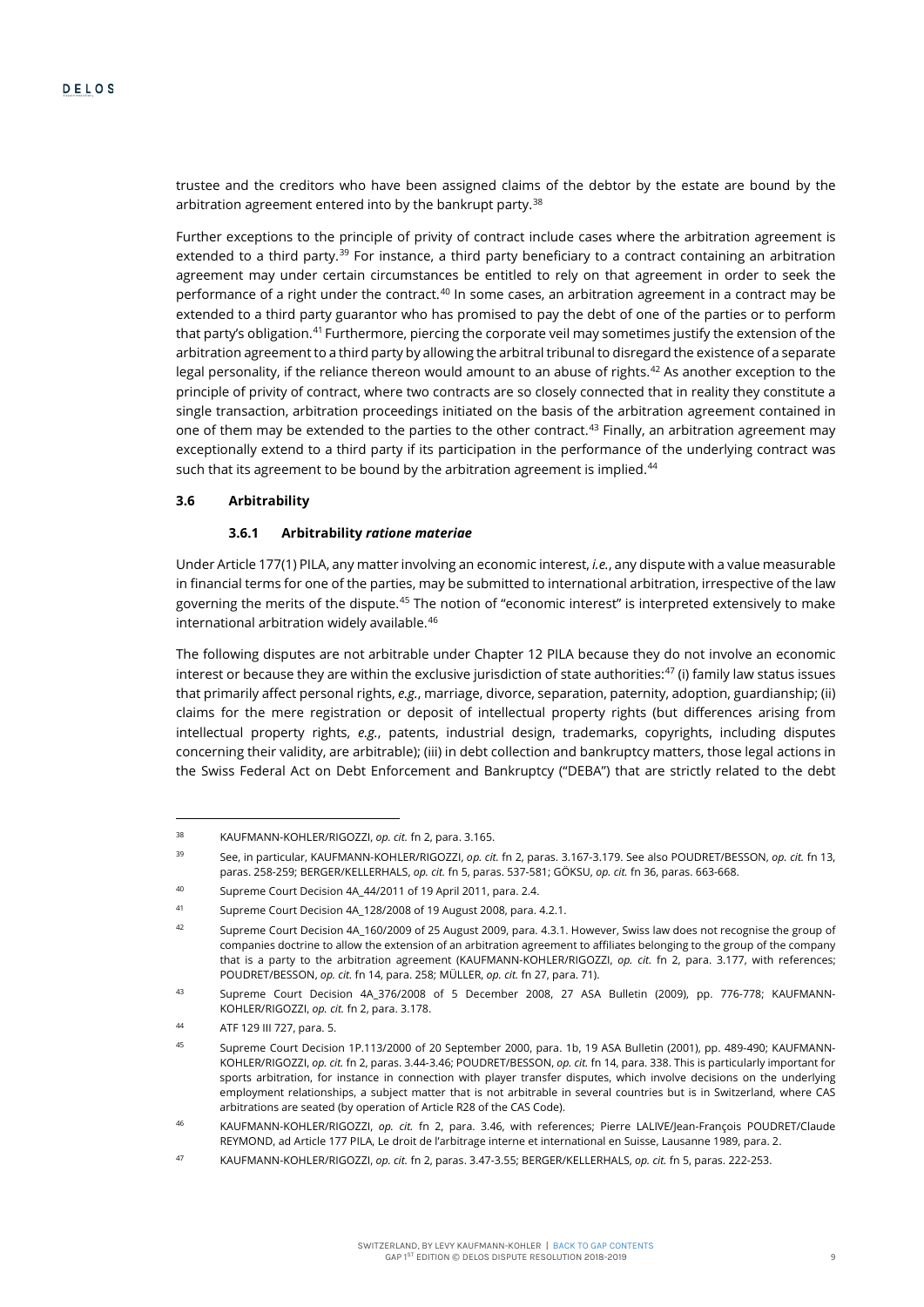trustee and the creditors who have been assigned claims of the debtor by the estate are bound by the arbitration agreement entered into by the bankrupt party.<sup>[38](#page-9-0)</sup>

Further exceptions to the principle of privity of contract include cases where the arbitration agreement is extended to a third party.<sup>[39](#page-9-1)</sup> For instance, a third party beneficiary to a contract containing an arbitration agreement may under certain circumstances be entitled to rely on that agreement in order to seek the performance of a right under the contract.<sup>[40](#page-9-2)</sup> In some cases, an arbitration agreement in a contract may be extended to a third party guarantor who has promised to pay the debt of one of the parties or to perform that party's obligation.[41](#page-9-3) Furthermore, piercing the corporate veil may sometimes justify the extension of the arbitration agreement to a third party by allowing the arbitral tribunal to disregard the existence of a separate legal personality, if the reliance thereon would amount to an abuse of rights.<sup>[42](#page-9-4)</sup> As another exception to the principle of privity of contract, where two contracts are so closely connected that in reality they constitute a single transaction, arbitration proceedings initiated on the basis of the arbitration agreement contained in one of them may be extended to the parties to the other contract.<sup>[43](#page-9-5)</sup> Finally, an arbitration agreement may exceptionally extend to a third party if its participation in the performance of the underlying contract was such that its agreement to be bound by the arbitration agreement is implied.<sup>44</sup>

# **3.6 Arbitrability**

# **3.6.1 Arbitrability** *ratione materiae*

Under Article 177(1) PILA, any matter involving an economic interest, *i.e.*, any dispute with a value measurable in financial terms for one of the parties, may be submitted to international arbitration, irrespective of the law governing the merits of the dispute.<sup>[45](#page-9-7)</sup> The notion of "economic interest" is interpreted extensively to make international arbitration widely available.[46](#page-9-8)

The following disputes are not arbitrable under Chapter 12 PILA because they do not involve an economic interest or because they are within the exclusive jurisdiction of state authorities: $47$  (i) family law status issues that primarily affect personal rights, *e.g.*, marriage, divorce, separation, paternity, adoption, guardianship; (ii) claims for the mere registration or deposit of intellectual property rights (but differences arising from intellectual property rights, *e.g.*, patents, industrial design, trademarks, copyrights, including disputes concerning their validity, are arbitrable); (iii) in debt collection and bankruptcy matters, those legal actions in the Swiss Federal Act on Debt Enforcement and Bankruptcy ("DEBA") that are strictly related to the debt

<span id="page-9-0"></span><sup>38</sup> KAUFMANN-KOHLER/RIGOZZI, *op. cit.* f[n 2,](#page-1-3) para. 3.165.

<span id="page-9-1"></span><sup>39</sup> See, in particular, KAUFMANN-KOHLER/RIGOZZI, *op. cit.* f[n 2,](#page-1-3) paras. 3.167-3.179. See also POUDRET/BESSON, *op. cit.* fn 13, paras. 258-259; BERGER/KELLERHALS, *op. cit.* f[n 5,](#page-4-0) paras. 537-581; GÖKSU, *op. cit.* f[n 36,](#page-8-8) paras. 663-668.

<span id="page-9-2"></span><sup>40</sup> Supreme Court Decision 4A\_44/2011 of 19 April 2011, para. 2.4.

<span id="page-9-3"></span><sup>41</sup> Supreme Court Decision 4A\_128/2008 of 19 August 2008, para. 4.2.1.

<span id="page-9-4"></span><sup>42</sup> Supreme Court Decision 4A\_160/2009 of 25 August 2009, para. 4.3.1. However, Swiss law does not recognise the group of companies doctrine to allow the extension of an arbitration agreement to affiliates belonging to the group of the company that is a party to the arbitration agreement (KAUFMANN-KOHLER/RIGOZZI, *op. cit.* fn [2,](#page-1-3) para. 3.177, with references; POUDRET/BESSON, *op. cit.* f[n 14,](#page-5-0) para. 258; MÜLLER, *op. cit.* f[n 27,](#page-7-0) para. 71).

<span id="page-9-5"></span><sup>43</sup> Supreme Court Decision 4A\_376/2008 of 5 December 2008, 27 ASA Bulletin (2009), pp. 776-778; KAUFMANN-KOHLER/RIGOZZI, *op. cit.* f[n 2,](#page-1-3) para. 3.178.

<span id="page-9-7"></span><span id="page-9-6"></span><sup>44</sup> ATF 129 III 727, para. 5.

<sup>45</sup> Supreme Court Decision 1P.113/2000 of 20 September 2000, para. 1b, 19 ASA Bulletin (2001), pp. 489-490; KAUFMANN-KOHLER/RIGOZZI, *op. cit.* f[n 2,](#page-1-3) paras. 3.44-3.46; POUDRET/BESSON, *op. cit.* f[n 14,](#page-5-0) para. 338. This is particularly important for sports arbitration, for instance in connection with player transfer disputes, which involve decisions on the underlying employment relationships, a subject matter that is not arbitrable in several countries but is in Switzerland, where CAS arbitrations are seated (by operation of Article R28 of the CAS Code).

<span id="page-9-8"></span><sup>46</sup> KAUFMANN-KOHLER/RIGOZZI, *op. cit.* fn [2,](#page-1-3) para. 3.46, with references; Pierre LALIVE/Jean-François POUDRET/Claude REYMOND, ad Article 177 PILA, Le droit de l'arbitrage interne et international en Suisse, Lausanne 1989, para. 2.

<span id="page-9-9"></span><sup>47</sup> KAUFMANN-KOHLER/RIGOZZI, *op. cit.* f[n 2,](#page-1-3) paras. 3.47-3.55; BERGER/KELLERHALS, *op. cit.* f[n 5,](#page-4-0) paras. 222-253.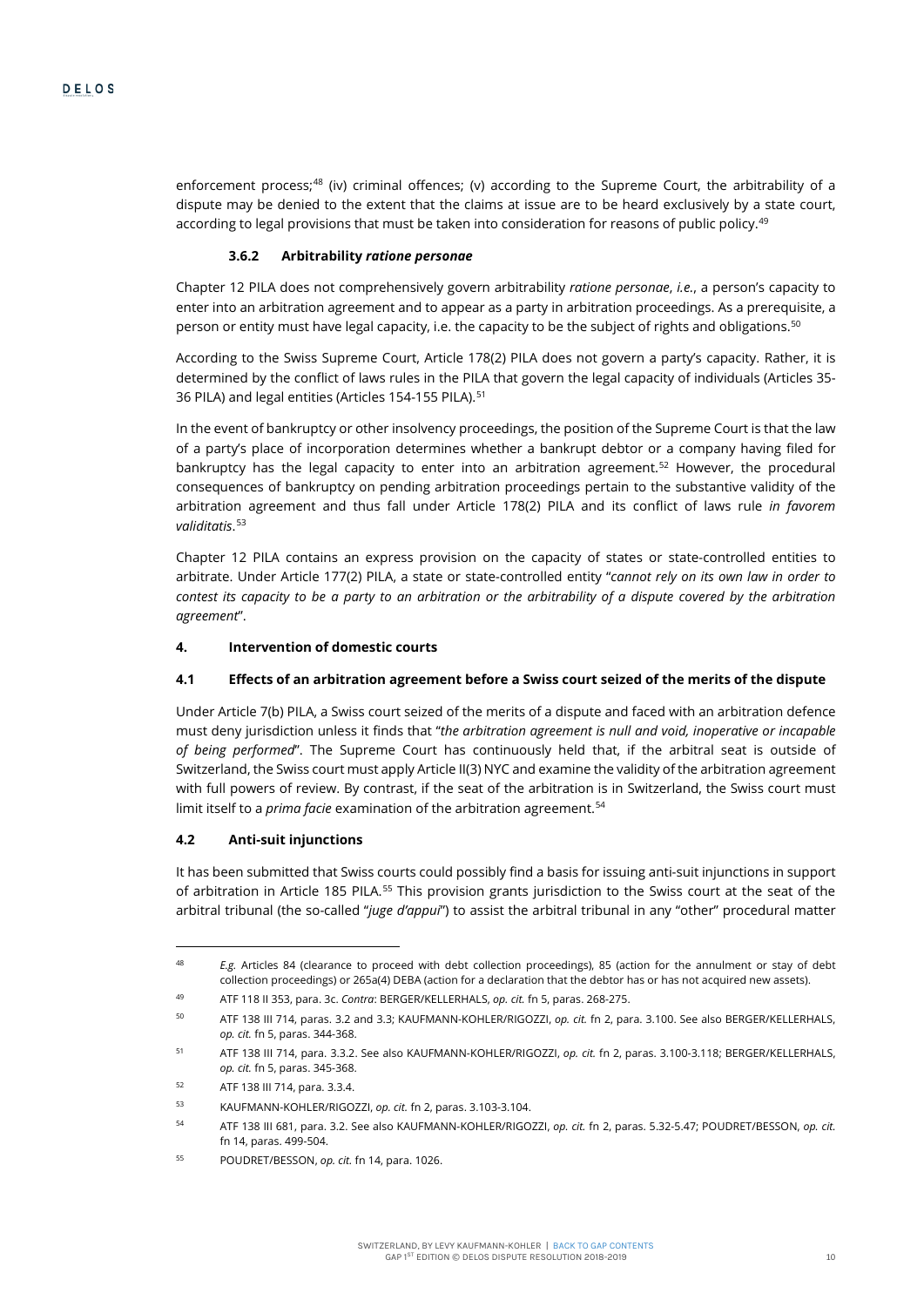enforcement process;<sup>[48](#page-10-0)</sup> (iv) criminal offences; (v) according to the Supreme Court, the arbitrability of a dispute may be denied to the extent that the claims at issue are to be heard exclusively by a state court, according to legal provisions that must be taken into consideration for reasons of public policy.<sup>[49](#page-10-1)</sup>

#### **3.6.2 Arbitrability** *ratione personae*

Chapter 12 PILA does not comprehensively govern arbitrability *ratione personae*, *i.e.*, a person's capacity to enter into an arbitration agreement and to appear as a party in arbitration proceedings. As a prerequisite, a person or entity must have legal capacity, i.e. the capacity to be the subject of rights and obligations.<sup>[50](#page-10-2)</sup>

According to the Swiss Supreme Court, Article 178(2) PILA does not govern a party's capacity. Rather, it is determined by the conflict of laws rules in the PILA that govern the legal capacity of individuals (Articles 35- 36 PILA) and legal entities (Articles 154-155 PILA).<sup>[51](#page-10-3)</sup>

In the event of bankruptcy or other insolvency proceedings, the position of the Supreme Court is that the law of a party's place of incorporation determines whether a bankrupt debtor or a company having filed for bankruptcy has the legal capacity to enter into an arbitration agreement.<sup>[52](#page-10-4)</sup> However, the procedural consequences of bankruptcy on pending arbitration proceedings pertain to the substantive validity of the arbitration agreement and thus fall under Article 178(2) PILA and its conflict of laws rule *in favorem validitatis*. [53](#page-10-5)

Chapter 12 PILA contains an express provision on the capacity of states or state-controlled entities to arbitrate. Under Article 177(2) PILA, a state or state-controlled entity "*cannot rely on its own law in order to contest its capacity to be a party to an arbitration or the arbitrability of a dispute covered by the arbitration agreement*".

#### **4. Intervention of domestic courts**

#### **4.1 Effects of an arbitration agreement before a Swiss court seized of the merits of the dispute**

Under Article 7(b) PILA, a Swiss court seized of the merits of a dispute and faced with an arbitration defence must deny jurisdiction unless it finds that "*the arbitration agreement is null and void, inoperative or incapable of being performed*". The Supreme Court has continuously held that, if the arbitral seat is outside of Switzerland, the Swiss court must apply Article II(3) NYC and examine the validity of the arbitration agreement with full powers of review. By contrast, if the seat of the arbitration is in Switzerland, the Swiss court must limit itself to a *prima facie* examination of the arbitration agreement.<sup>[54](#page-10-6)</sup>

# **4.2 Anti-suit injunctions**

 $\overline{a}$ 

It has been submitted that Swiss courts could possibly find a basis for issuing anti-suit injunctions in support of arbitration in Article 185 PILA.<sup>[55](#page-10-7)</sup> This provision grants jurisdiction to the Swiss court at the seat of the arbitral tribunal (the so-called "*juge d'appui*") to assist the arbitral tribunal in any "other" procedural matter

<span id="page-10-0"></span><sup>48</sup> *E.g.* Articles 84 (clearance to proceed with debt collection proceedings), 85 (action for the annulment or stay of debt collection proceedings) or 265a(4) DEBA (action for a declaration that the debtor has or has not acquired new assets).

<sup>49</sup> ATF 118 II 353, para. 3c. *Contra*: BERGER/KELLERHALS, *op. cit.* f[n 5,](#page-4-0) paras. 268-275.

<span id="page-10-2"></span><span id="page-10-1"></span><sup>50</sup> ATF 138 III 714, paras. 3.2 and 3.3; KAUFMANN-KOHLER/RIGOZZI, *op. cit.* f[n 2,](#page-1-3) para. 3.100. See also BERGER/KELLERHALS, *op. cit.* f[n 5,](#page-4-0) paras. 344-368.

<span id="page-10-3"></span><sup>51</sup> ATF 138 III 714, para. 3.3.2. See also KAUFMANN-KOHLER/RIGOZZI, *op. cit.* fn [2,](#page-1-3) paras. 3.100-3.118; BERGER/KELLERHALS, *op. cit.* f[n 5,](#page-4-0) paras. 345-368.

<span id="page-10-4"></span><sup>52</sup> ATF 138 III 714, para. 3.3.4.

<span id="page-10-6"></span><span id="page-10-5"></span><sup>53</sup> KAUFMANN-KOHLER/RIGOZZI, *op. cit.* f[n 2,](#page-1-3) paras. 3.103-3.104.

<sup>54</sup> ATF 138 III 681, para. 3.2. See also KAUFMANN-KOHLER/RIGOZZI, *op. cit.* f[n 2,](#page-1-3) paras. 5.32-5.47; POUDRET/BESSON, *op. cit.*  f[n 14,](#page-5-0) paras. 499-504.

<span id="page-10-7"></span><sup>55</sup> POUDRET/BESSON, *op. cit.* f[n 14,](#page-5-0) para. 1026.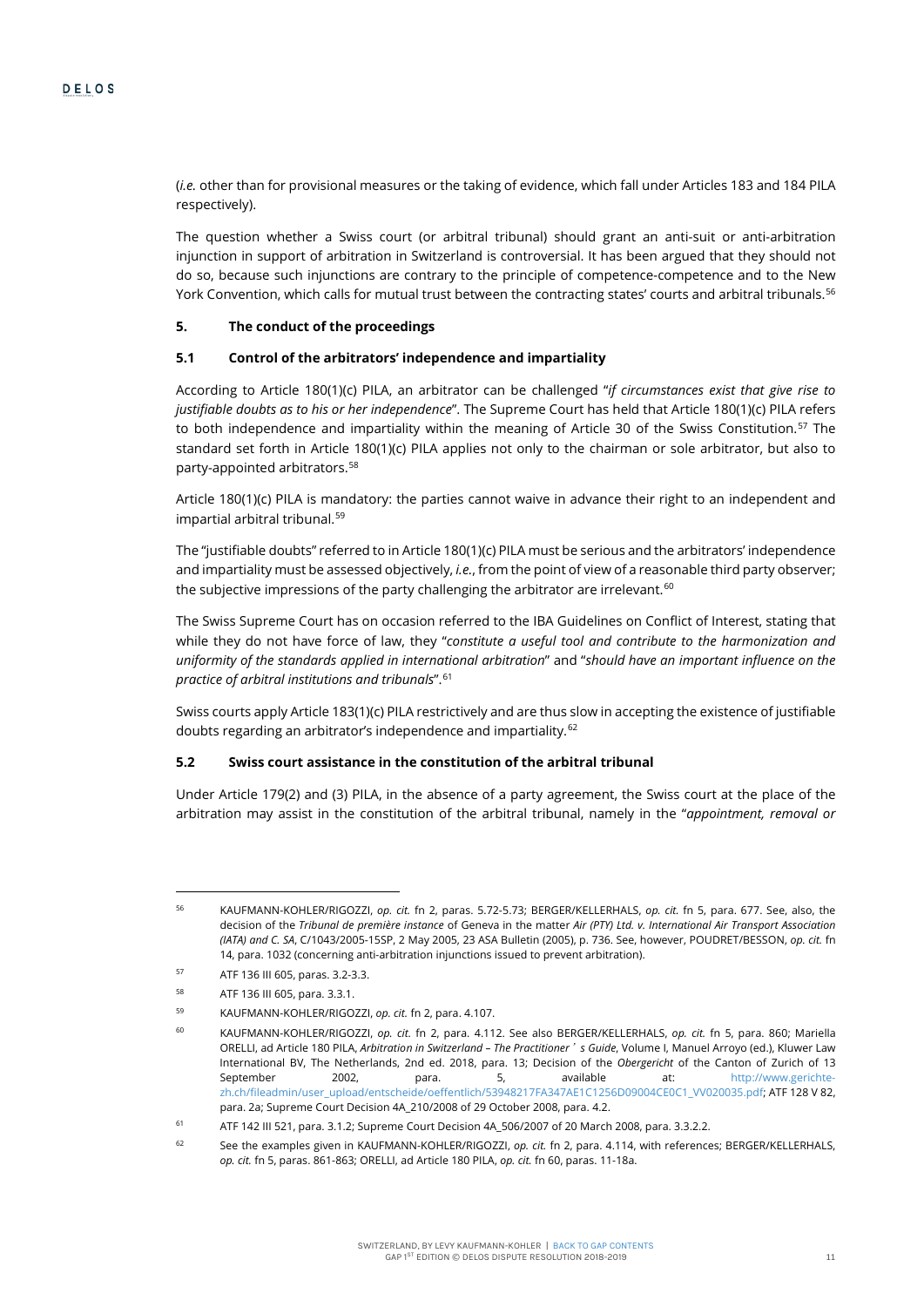(*i.e.* other than for provisional measures or the taking of evidence, which fall under Articles 183 and 184 PILA respectively).

The question whether a Swiss court (or arbitral tribunal) should grant an anti-suit or anti-arbitration injunction in support of arbitration in Switzerland is controversial. It has been argued that they should not do so, because such injunctions are contrary to the principle of competence-competence and to the New York Convention, which calls for mutual trust between the contracting states' courts and arbitral tribunals.<sup>[56](#page-11-1)</sup>

#### **5. The conduct of the proceedings**

#### **5.1 Control of the arbitrators' independence and impartiality**

According to Article 180(1)(c) PILA, an arbitrator can be challenged "*if circumstances exist that give rise to justifiable doubts as to his or her independence*". The Supreme Court has held that Article 180(1)(c) PILA refers to both independence and impartiality within the meaning of Article 30 of the Swiss Constitution.<sup>[57](#page-11-2)</sup> The standard set forth in Article 180(1)(c) PILA applies not only to the chairman or sole arbitrator, but also to party-appointed arbitrators.[58](#page-11-3)

Article 180(1)(c) PILA is mandatory: the parties cannot waive in advance their right to an independent and impartial arbitral tribunal.[59](#page-11-4)

<span id="page-11-0"></span>The "justifiable doubts" referred to in Article 180(1)(c) PILA must be serious and the arbitrators' independence and impartiality must be assessed objectively, *i.e.*, from the point of view of a reasonable third party observer; the subjective impressions of the party challenging the arbitrator are irrelevant. $60$ 

The Swiss Supreme Court has on occasion referred to the IBA Guidelines on Conflict of Interest, stating that while they do not have force of law, they "*constitute a useful tool and contribute to the harmonization and uniformity of the standards applied in international arbitration*" and "*should have an important influence on the practice of arbitral institutions and tribunals*".[61](#page-11-6)

Swiss courts apply Article 183(1)(c) PILA restrictively and are thus slow in accepting the existence of justifiable doubts regarding an arbitrator's independence and impartiality.[62](#page-11-7)

#### **5.2 Swiss court assistance in the constitution of the arbitral tribunal**

Under Article 179(2) and (3) PILA, in the absence of a party agreement, the Swiss court at the place of the arbitration may assist in the constitution of the arbitral tribunal, namely in the "*appointment, removal or* 

<span id="page-11-1"></span><sup>56</sup> KAUFMANN-KOHLER/RIGOZZI, *op. cit.* fn [2,](#page-1-3) paras. 5.72-5.73; BERGER/KELLERHALS, *op. cit.* fn [5,](#page-4-0) para. 677. See, also, the decision of the *Tribunal de première instance* of Geneva in the matter *Air (PTY) Ltd. v. International Air Transport Association (IATA) and C. SA*, C/1043/2005-15SP, 2 May 2005, 23 ASA Bulletin (2005), p. 736. See, however, POUDRET/BESSON, *op. cit.* fn [14,](#page-5-0) para. 1032 (concerning anti-arbitration injunctions issued to prevent arbitration).

<span id="page-11-3"></span><span id="page-11-2"></span><sup>57</sup> ATF 136 III 605, paras. 3.2-3.3.

<sup>58</sup> ATF 136 III 605, para. 3.3.1.

<span id="page-11-4"></span><sup>59</sup> KAUFMANN-KOHLER/RIGOZZI, *op. cit.* f[n 2,](#page-1-3) para. 4.107.

<span id="page-11-5"></span><sup>60</sup> KAUFMANN-KOHLER/RIGOZZI, *op. cit.* fn [2,](#page-1-3) para. 4.112. See also BERGER/KELLERHALS, *op. cit.* fn [5,](#page-4-0) para. 860; Mariella ORELLI, ad Article 180 PILA, *Arbitration in Switzerland – The Practitioner*'*s Guide*, Volume I, Manuel Arroyo (ed.), Kluwer Law International BV, The Netherlands, 2nd ed. 2018, para. 13; Decision of the *Obergericht* of the Canton of Zurich of 13 September 2002, para. 5, available at: http://www.gerichtezh.ch/fileadmin/user\_upload/entscheide/oeffentlich/53948217FA347AE1C1256D09004CE0C1\_VV020035.pdf; ATF 128 V 82, para. 2a; Supreme Court Decision 4A\_210/2008 of 29 October 2008, para. 4.2.

<span id="page-11-6"></span><sup>61</sup> ATF 142 III 521, para. 3.1.2; Supreme Court Decision 4A\_506/2007 of 20 March 2008, para. 3.3.2.2.

<span id="page-11-7"></span><sup>62</sup> See the examples given in KAUFMANN-KOHLER/RIGOZZI, *op. cit.* f[n 2,](#page-1-3) para. 4.114, with references; BERGER/KELLERHALS, *op. cit.* f[n 5,](#page-4-0) paras. 861-863; ORELLI, ad Article 180 PILA, *op. cit.* f[n 60,](#page-11-0) paras. 11-18a.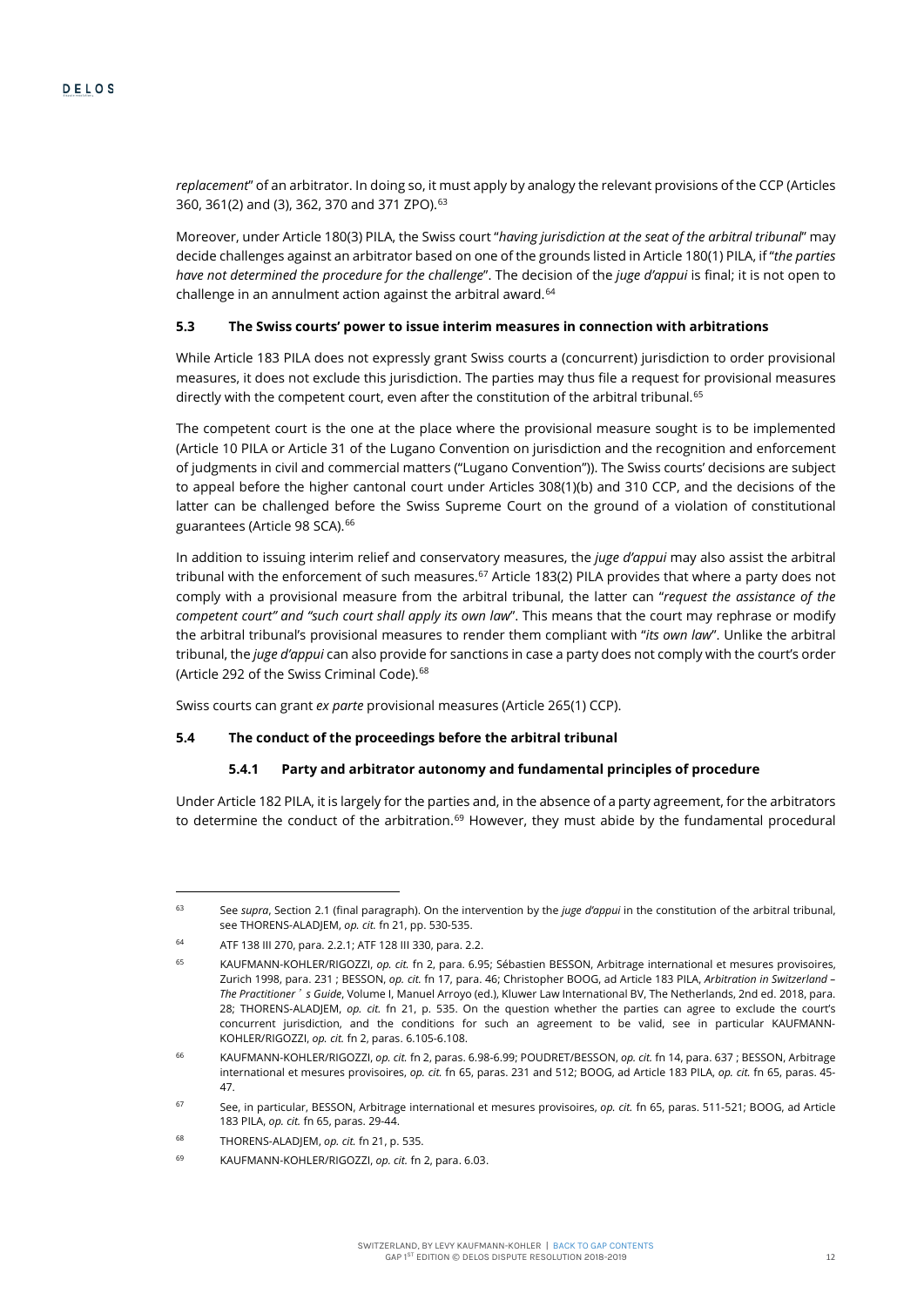*replacement*" of an arbitrator. In doing so, it must apply by analogy the relevant provisions of the CCP (Articles 360, 361(2) and (3), 362, 370 and 371 ZPO). [63](#page-12-1)

Moreover, under Article 180(3) PILA, the Swiss court "*having jurisdiction at the seat of the arbitral tribunal*" may decide challenges against an arbitrator based on one of the grounds listed in Article 180(1) PILA, if "*the parties have not determined the procedure for the challenge*". The decision of the *juge d'appui* is final; it is not open to challenge in an annulment action against the arbitral award.<sup>[64](#page-12-2)</sup>

#### **5.3 The Swiss courts' power to issue interim measures in connection with arbitrations**

While Article 183 PILA does not expressly grant Swiss courts a (concurrent) jurisdiction to order provisional measures, it does not exclude this jurisdiction. The parties may thus file a request for provisional measures directly with the competent court, even after the constitution of the arbitral tribunal.<sup>[65](#page-12-3)</sup>

<span id="page-12-0"></span>The competent court is the one at the place where the provisional measure sought is to be implemented (Article 10 PILA or Article 31 of the Lugano Convention on jurisdiction and the recognition and enforcement of judgments in civil and commercial matters ("Lugano Convention")). The Swiss courts' decisions are subject to appeal before the higher cantonal court under Articles 308(1)(b) and 310 CCP, and the decisions of the latter can be challenged before the Swiss Supreme Court on the ground of a violation of constitutional guarantees (Article 98 SCA).<sup>66</sup>

In addition to issuing interim relief and conservatory measures, the *juge d'appui* may also assist the arbitral tribunal with the enforcement of such measures.<sup>67</sup> Article 183(2) PILA provides that where a party does not comply with a provisional measure from the arbitral tribunal, the latter can "*request the assistance of the competent court" and "such court shall apply its own law*". This means that the court may rephrase or modify the arbitral tribunal's provisional measures to render them compliant with "*its own law*". Unlike the arbitral tribunal, the *juge d'appui* can also provide for sanctions in case a party does not comply with the court's order (Article 292 of the Swiss Criminal Code).<sup>[68](#page-12-6)</sup>

Swiss courts can grant *ex parte* provisional measures (Article 265(1) CCP).

#### **5.4 The conduct of the proceedings before the arbitral tribunal**

#### **5.4.1 Party and arbitrator autonomy and fundamental principles of procedure**

Under Article 182 PILA, it is largely for the parties and, in the absence of a party agreement, for the arbitrators to determine the conduct of the arbitration.<sup>[69](#page-12-7)</sup> However, they must abide by the fundamental procedural

<span id="page-12-1"></span><sup>63</sup> See *supra*, Section 2.1 (final paragraph). On the intervention by the *juge d'appui* in the constitution of the arbitral tribunal, see THORENS-ALADJEM, *op. cit.* f[n 21,](#page-6-8) pp. 530-535.

<span id="page-12-2"></span><sup>64</sup> ATF 138 III 270, para. 2.2.1; ATF 128 III 330, para. 2.2.

<span id="page-12-3"></span><sup>65</sup> KAUFMANN-KOHLER/RIGOZZI, *op. cit.* fn [2,](#page-1-3) para. 6.95; Sébastien BESSON, Arbitrage international et mesures provisoires, Zurich 1998, para. 231 ; BESSON, *op. cit.* f[n 17,](#page-6-0) para. 46; Christopher BOOG, ad Article 183 PILA, *Arbitration in Switzerland – The Practitioner*'*s Guide*, Volume I, Manuel Arroyo (ed.), Kluwer Law International BV, The Netherlands, 2nd ed. 2018, para. 28; THORENS-ALADJEM, *op. cit.* fn [21,](#page-6-8) p. 535. On the question whether the parties can agree to exclude the court's concurrent jurisdiction, and the conditions for such an agreement to be valid, see in particular KAUFMANN-KOHLER/RIGOZZI, *op. cit.* f[n 2,](#page-1-3) paras. 6.105-6.108.

<span id="page-12-4"></span><sup>66</sup> KAUFMANN-KOHLER/RIGOZZI, *op. cit.* f[n 2,](#page-1-3) paras. 6.98-6.99; POUDRET/BESSON, *op. cit.* f[n 14,](#page-5-0) para. 637 ; BESSON, Arbitrage international et mesures provisoires, *op. cit.* f[n 65,](#page-12-0) paras. 231 and 512; BOOG, ad Article 183 PILA, *op. cit.* f[n 65,](#page-12-0) paras. 45- 47.

<span id="page-12-5"></span><sup>67</sup> See, in particular, BESSON, Arbitrage international et mesures provisoires, *op. cit.* fn [65,](#page-12-0) paras. 511-521; BOOG, ad Article 183 PILA, *op. cit.* f[n 65,](#page-12-0) paras. 29-44.

<span id="page-12-6"></span><sup>68</sup> THORENS-ALADJEM, *op. cit.* fn [21,](#page-6-8) p. 535.

<span id="page-12-7"></span><sup>69</sup> KAUFMANN-KOHLER/RIGOZZI, *op. cit.* f[n 2,](#page-1-3) para. 6.03.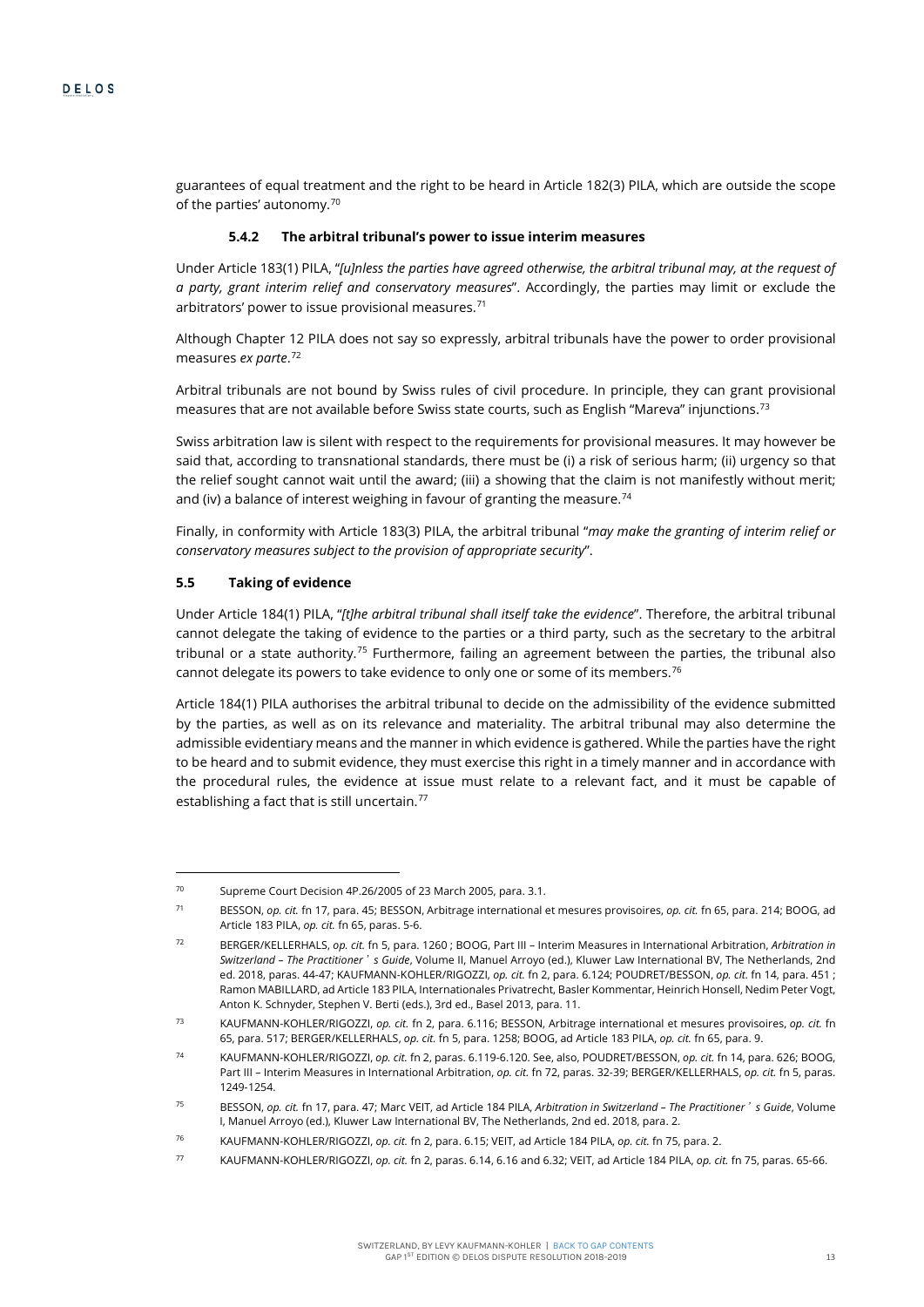guarantees of equal treatment and the right to be heard in Article 182(3) PILA, which are outside the scope of the parties' autonomy.[70](#page-13-2)

#### **5.4.2 The arbitral tribunal's power to issue interim measures**

Under Article 183(1) PILA, "*[u]nless the parties have agreed otherwise, the arbitral tribunal may, at the request of a party, grant interim relief and conservatory measures*". Accordingly, the parties may limit or exclude the arbitrators' power to issue provisional measures.<sup>[71](#page-13-3)</sup>

<span id="page-13-0"></span>Although Chapter 12 PILA does not say so expressly, arbitral tribunals have the power to order provisional measures *ex parte*. [72](#page-13-4)

Arbitral tribunals are not bound by Swiss rules of civil procedure. In principle, they can grant provisional measures that are not available before Swiss state courts, such as English "Mareva" injunctions.[73](#page-13-5)

Swiss arbitration law is silent with respect to the requirements for provisional measures. It may however be said that, according to transnational standards, there must be (i) a risk of serious harm; (ii) urgency so that the relief sought cannot wait until the award; (iii) a showing that the claim is not manifestly without merit; and (iv) a balance of interest weighing in favour of granting the measure.<sup>[74](#page-13-6)</sup>

Finally, in conformity with Article 183(3) PILA, the arbitral tribunal "*may make the granting of interim relief or conservatory measures subject to the provision of appropriate security*".

#### **5.5 Taking of evidence**

<span id="page-13-10"></span> $\overline{a}$ 

<span id="page-13-1"></span>Under Article 184(1) PILA, "*[t]he arbitral tribunal shall itself take the evidence*". Therefore, the arbitral tribunal cannot delegate the taking of evidence to the parties or a third party, such as the secretary to the arbitral tribunal or a state authority.<sup>[75](#page-13-7)</sup> Furthermore, failing an agreement between the parties, the tribunal also cannot delegate its powers to take evidence to only one or some of its members.<sup>[76](#page-13-8)</sup>

Article 184(1) PILA authorises the arbitral tribunal to decide on the admissibility of the evidence submitted by the parties, as well as on its relevance and materiality. The arbitral tribunal may also determine the admissible evidentiary means and the manner in which evidence is gathered. While the parties have the right to be heard and to submit evidence, they must exercise this right in a timely manner and in accordance with the procedural rules, the evidence at issue must relate to a relevant fact, and it must be capable of establishing a fact that is still uncertain.<sup>[77](#page-13-9)</sup>

<span id="page-13-2"></span><sup>70</sup> Supreme Court Decision 4P.26/2005 of 23 March 2005, para. 3.1.

<span id="page-13-3"></span><sup>71</sup> BESSON, *op. cit.* f[n 17,](#page-6-0) para. 45; BESSON, Arbitrage international et mesures provisoires, *op. cit.* f[n 65,](#page-12-0) para. 214; BOOG, ad Article 183 PILA, *op. cit.* f[n 65,](#page-12-0) paras. 5-6.

<span id="page-13-4"></span><sup>72</sup> BERGER/KELLERHALS, *op. cit.* fn [5,](#page-4-0) para. 1260 ; BOOG, Part III – Interim Measures in International Arbitration, *Arbitration in Switzerland – The Practitioner*'*s Guide*, Volume II, Manuel Arroyo (ed.), Kluwer Law International BV, The Netherlands, 2nd ed. 2018, paras. 44-47; KAUFMANN-KOHLER/RIGOZZI, *op. cit.* fn [2,](#page-1-3) para. 6.124; POUDRET/BESSON, *op. cit.* f[n 14,](#page-5-0) para. 451 ; Ramon MABILLARD, ad Article 183 PILA, Internationales Privatrecht, Basler Kommentar, Heinrich Honsell, Nedim Peter Vogt, Anton K. Schnyder, Stephen V. Berti (eds.), 3rd ed., Basel 2013, para. 11.

<span id="page-13-5"></span><sup>73</sup> KAUFMANN-KOHLER/RIGOZZI, *op. cit.* f[n 2,](#page-1-3) para. 6.116; BESSON, Arbitrage international et mesures provisoires, *op. cit.* fn [65,](#page-12-0) para. 517; BERGER/KELLERHALS, *op. cit.* f[n 5,](#page-4-0) para. 1258; BOOG, ad Article 183 PILA, *op. cit.* f[n 65,](#page-12-0) para. 9.

<span id="page-13-6"></span><sup>74</sup> KAUFMANN-KOHLER/RIGOZZI, *op. cit.* f[n 2,](#page-1-3) paras. 6.119-6.120. See, also, POUDRET/BESSON, *op. cit.* fn [14,](#page-5-0) para. 626; BOOG, Part III – Interim Measures in International Arbitration, *op. cit.* f[n 72,](#page-13-0) paras. 32-39; BERGER/KELLERHALS, *op. cit.* f[n 5,](#page-4-0) paras. 1249-1254.

<span id="page-13-7"></span><sup>75</sup> BESSON, *op. cit.* f[n 17,](#page-6-0) para. 47; Marc VEIT, ad Article 184 PILA, *Arbitration in Switzerland – The Practitioner*'*s Guide*, Volume I, Manuel Arroyo (ed.), Kluwer Law International BV, The Netherlands, 2nd ed. 2018, para. 2.

<span id="page-13-8"></span><sup>76</sup> KAUFMANN-KOHLER/RIGOZZI, *op. cit.* f[n 2,](#page-1-3) para. 6.15; VEIT, ad Article 184 PILA, *op. cit.* f[n 75,](#page-13-1) para. 2.

<span id="page-13-9"></span><sup>77</sup> KAUFMANN-KOHLER/RIGOZZI, *op. cit.* f[n 2,](#page-1-3) paras. 6.14, 6.16 and 6.32; VEIT, ad Article 184 PILA, *op. cit.* f[n 75,](#page-13-1) paras. 65-66.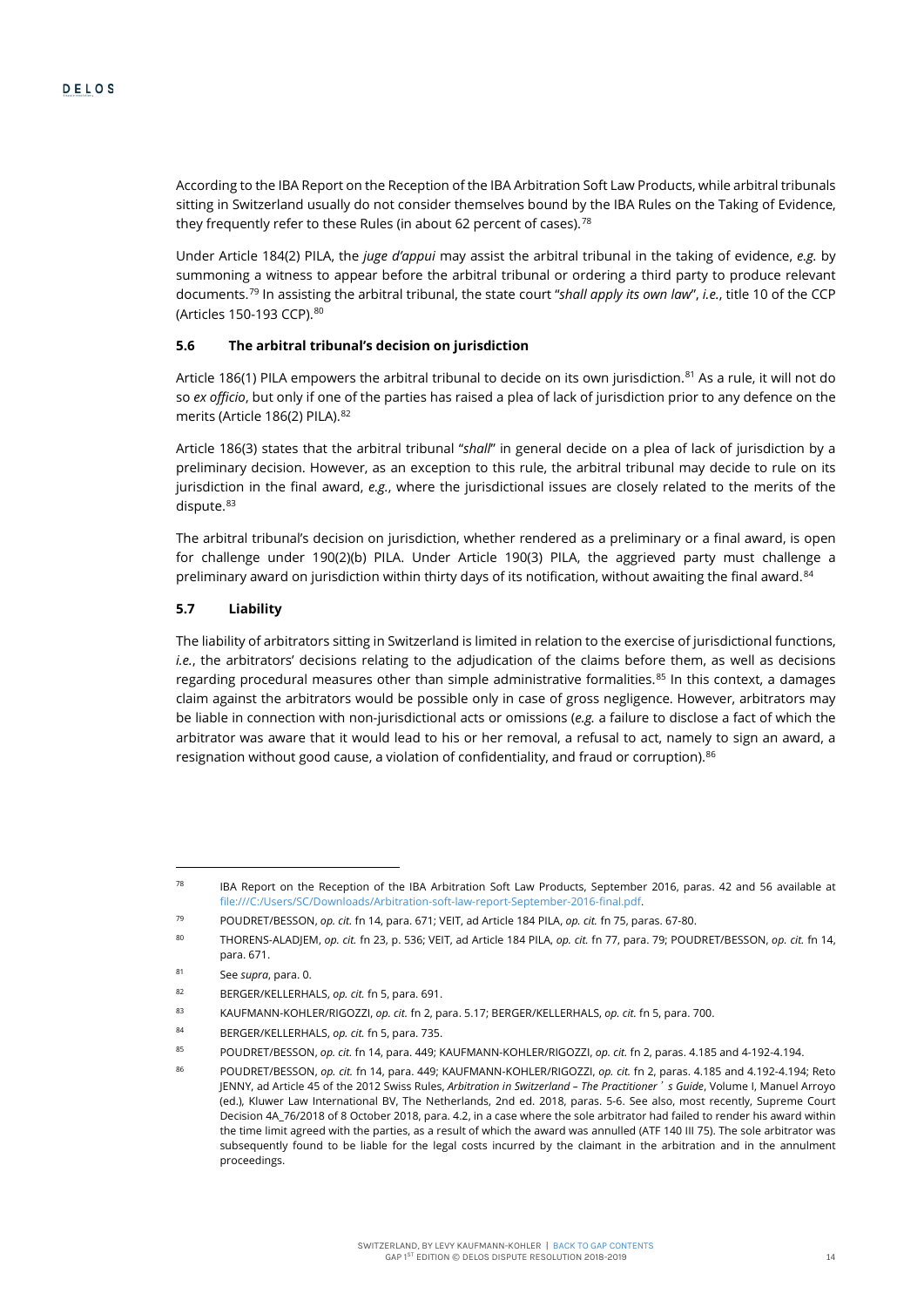According to the IBA Report on the Reception of the IBA Arbitration Soft Law Products, while arbitral tribunals sitting in Switzerland usually do not consider themselves bound by the IBA Rules on the Taking of Evidence, they frequently refer to these Rules (in about 62 percent of cases).<sup>[78](#page-14-0)</sup>

Under Article 184(2) PILA, the *juge d'appui* may assist the arbitral tribunal in the taking of evidence, *e.g.* by summoning a witness to appear before the arbitral tribunal or ordering a third party to produce relevant documents.[79](#page-14-1) In assisting the arbitral tribunal, the state court "*shall apply its own law*", *i.e.*, title 10 of the CCP (Articles 150-193 CCP). [80](#page-14-2)

#### **5.6 The arbitral tribunal's decision on jurisdiction**

Article 186(1) PILA empowers the arbitral tribunal to decide on its own jurisdiction.<sup>[81](#page-14-3)</sup> As a rule, it will not do so *ex officio*, but only if one of the parties has raised a plea of lack of jurisdiction prior to any defence on the merits (Article 186(2) PILA). [82](#page-14-4)

Article 186(3) states that the arbitral tribunal "*shall*" in general decide on a plea of lack of jurisdiction by a preliminary decision. However, as an exception to this rule, the arbitral tribunal may decide to rule on its jurisdiction in the final award, *e.g.*, where the jurisdictional issues are closely related to the merits of the dispute.<sup>[83](#page-14-5)</sup>

The arbitral tribunal's decision on jurisdiction, whether rendered as a preliminary or a final award, is open for challenge under 190(2)(b) PILA. Under Article 190(3) PILA, the aggrieved party must challenge a preliminary award on jurisdiction within thirty days of its notification, without awaiting the final award.<sup>[84](#page-14-6)</sup>

### **5.7 Liability**

<span id="page-14-9"></span>The liability of arbitrators sitting in Switzerland is limited in relation to the exercise of jurisdictional functions, *i.e.*, the arbitrators' decisions relating to the adjudication of the claims before them, as well as decisions regarding procedural measures other than simple administrative formalities. $85$  In this context, a damages claim against the arbitrators would be possible only in case of gross negligence. However, arbitrators may be liable in connection with non-jurisdictional acts or omissions (*e.g.* a failure to disclose a fact of which the arbitrator was aware that it would lead to his or her removal, a refusal to act, namely to sign an award, a resignation without good cause, a violation of confidentiality, and fraud or corruption).<sup>[86](#page-14-8)</sup>

<span id="page-14-0"></span> $78$  IBA Report on the Reception of the IBA Arbitration Soft Law Products, September 2016, paras. 42 and 56 available at file:///C:/Users/SC/Downloads/Arbitration-soft-law-report-September-2016-final.pdf.

<sup>79</sup> POUDRET/BESSON, *op. cit.* f[n 14,](#page-5-0) para. 671; VEIT, ad Article 184 PILA, *op. cit.* f[n 75,](#page-13-1) paras. 67-80.

<span id="page-14-2"></span><span id="page-14-1"></span><sup>80</sup> THORENS-ALADJEM, *op. cit.* f[n 23,](#page-6-9) p. 536; VEIT, ad Article 184 PILA, *op. cit.* f[n 77,](#page-13-10) para. 79; POUDRET/BESSON, *op. cit.* f[n 14,](#page-5-0)  para. 671.

<span id="page-14-3"></span><sup>81</sup> See *supra*, para[. 0.](#page-7-7)

<span id="page-14-4"></span><sup>82</sup> BERGER/KELLERHALS, *op. cit.* f[n 5,](#page-4-0) para. 691.

<span id="page-14-5"></span><sup>83</sup> KAUFMANN-KOHLER/RIGOZZI, *op. cit.* f[n 2,](#page-1-3) para. 5.17; BERGER/KELLERHALS, *op. cit.* f[n 5,](#page-4-0) para. 700.

<span id="page-14-6"></span><sup>84</sup> BERGER/KELLERHALS, *op. cit.* f[n 5,](#page-4-0) para. 735.

<span id="page-14-7"></span><sup>85</sup> POUDRET/BESSON, *op. cit.* f[n 14,](#page-5-0) para. 449; KAUFMANN-KOHLER/RIGOZZI, *op. cit.* fn [2,](#page-1-3) paras. 4.185 and 4-192-4.194.

<span id="page-14-8"></span><sup>86</sup> POUDRET/BESSON, *op. cit.* f[n 14,](#page-5-0) para. 449; KAUFMANN-KOHLER/RIGOZZI, *op. cit.* f[n 2,](#page-1-3) paras. 4.185 and 4.192-4.194; Reto JENNY, ad Article 45 of the 2012 Swiss Rules, *Arbitration in Switzerland – The Practitioner*'*s Guide*, Volume I, Manuel Arroyo (ed.), Kluwer Law International BV, The Netherlands, 2nd ed. 2018, paras. 5-6. See also, most recently, Supreme Court Decision 4A\_76/2018 of 8 October 2018, para. 4.2, in a case where the sole arbitrator had failed to render his award within the time limit agreed with the parties, as a result of which the award was annulled (ATF 140 III 75). The sole arbitrator was subsequently found to be liable for the legal costs incurred by the claimant in the arbitration and in the annulment proceedings.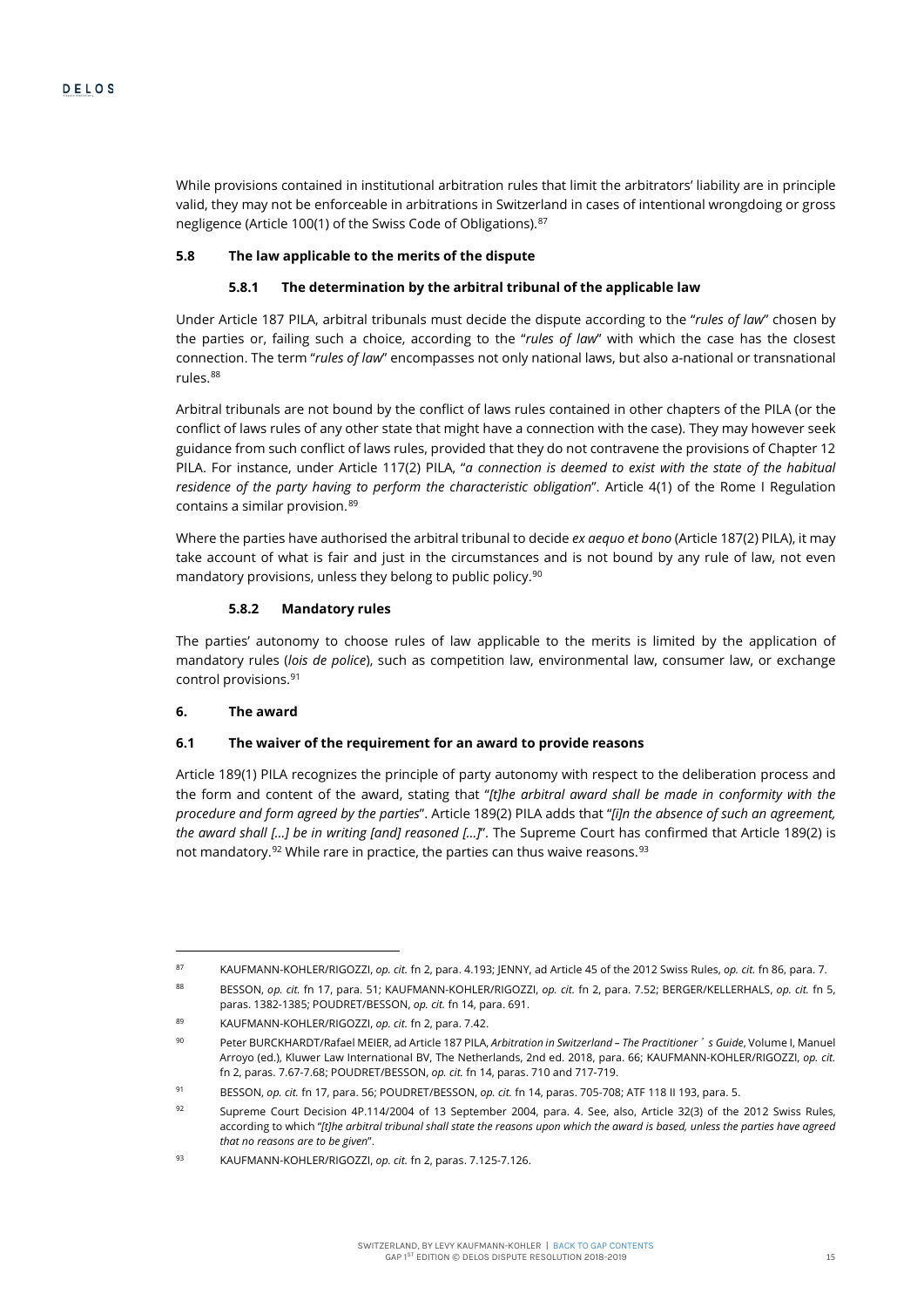While provisions contained in institutional arbitration rules that limit the arbitrators' liability are in principle valid, they may not be enforceable in arbitrations in Switzerland in cases of intentional wrongdoing or gross negligence (Article 100(1) of the Swiss Code of Obligations).<sup>[87](#page-15-0)</sup>

#### **5.8 The law applicable to the merits of the dispute**

# **5.8.1 The determination by the arbitral tribunal of the applicable law**

Under Article 187 PILA, arbitral tribunals must decide the dispute according to the "*rules of law*" chosen by the parties or, failing such a choice, according to the "*rules of law*" with which the case has the closest connection. The term "*rules of law*" encompasses not only national laws, but also a-national or transnational rules.[88](#page-15-1)

Arbitral tribunals are not bound by the conflict of laws rules contained in other chapters of the PILA (or the conflict of laws rules of any other state that might have a connection with the case). They may however seek guidance from such conflict of laws rules, provided that they do not contravene the provisions of Chapter 12 PILA. For instance, under Article 117(2) PILA, "*a connection is deemed to exist with the state of the habitual residence of the party having to perform the characteristic obligation*". Article 4(1) of the Rome I Regulation contains a similar provision.<sup>[89](#page-15-2)</sup>

Where the parties have authorised the arbitral tribunal to decide *ex aequo et bono* (Article 187(2) PILA), it may take account of what is fair and just in the circumstances and is not bound by any rule of law, not even mandatory provisions, unless they belong to public policy.<sup>[90](#page-15-3)</sup>

# **5.8.2 Mandatory rules**

The parties' autonomy to choose rules of law applicable to the merits is limited by the application of mandatory rules (*lois de police*), such as competition law, environmental law, consumer law, or exchange control provisions.[91](#page-15-4)

# **6. The award**

 $\overline{a}$ 

#### **6.1 The waiver of the requirement for an award to provide reasons**

Article 189(1) PILA recognizes the principle of party autonomy with respect to the deliberation process and the form and content of the award, stating that "*[t]he arbitral award shall be made in conformity with the procedure and form agreed by the parties*". Article 189(2) PILA adds that "*[i]n the absence of such an agreement, the award shall […] be in writing [and] reasoned […]*". The Supreme Court has confirmed that Article 189(2) is not mandatory.<sup>92</sup> While rare in practice, the parties can thus waive reasons.<sup>[93](#page-15-6)</sup>

<span id="page-15-0"></span><sup>87</sup> KAUFMANN-KOHLER/RIGOZZI, *op. cit.* f[n 2,](#page-1-3) para. 4.193; JENNY, ad Article 45 of the 2012 Swiss Rules, *op. cit.* f[n 86,](#page-14-9) para. 7.

<span id="page-15-1"></span><sup>88</sup> BESSON, *op. cit.* fn [17,](#page-6-0) para. 51; KAUFMANN-KOHLER/RIGOZZI, *op. cit.* fn [2,](#page-1-3) para. 7.52; BERGER/KELLERHALS, *op. cit.* fn [5,](#page-4-0)  paras. 1382-1385; POUDRET/BESSON, *op. cit.* f[n 14,](#page-5-0) para. 691.

<sup>89</sup> KAUFMANN-KOHLER/RIGOZZI, *op. cit.* f[n 2,](#page-1-3) para. 7.42.

<span id="page-15-3"></span><span id="page-15-2"></span><sup>90</sup> Peter BURCKHARDT/Rafael MEIER, ad Article 187 PILA, *Arbitration in Switzerland – The Practitioner*'*s Guide*, Volume I, Manuel Arroyo (ed.), Kluwer Law International BV, The Netherlands, 2nd ed. 2018, para. 66; KAUFMANN-KOHLER/RIGOZZI, *op. cit.* f[n 2,](#page-1-3) paras. 7.67-7.68; POUDRET/BESSON, *op. cit.* f[n 14,](#page-5-0) paras. 710 and 717-719.

<span id="page-15-4"></span><sup>91</sup> BESSON, *op. cit.* f[n 17,](#page-6-0) para. 56; POUDRET/BESSON, *op. cit.* f[n 14,](#page-5-0) paras. 705-708; ATF 118 II 193, para. 5.

<span id="page-15-5"></span><sup>92</sup> Supreme Court Decision 4P.114/2004 of 13 September 2004, para. 4. See, also, Article 32(3) of the 2012 Swiss Rules, according to which "*[t]he arbitral tribunal shall state the reasons upon which the award is based, unless the parties have agreed that no reasons are to be given*".

<span id="page-15-6"></span><sup>93</sup> KAUFMANN-KOHLER/RIGOZZI, *op. cit.* f[n 2,](#page-1-3) paras. 7.125-7.126.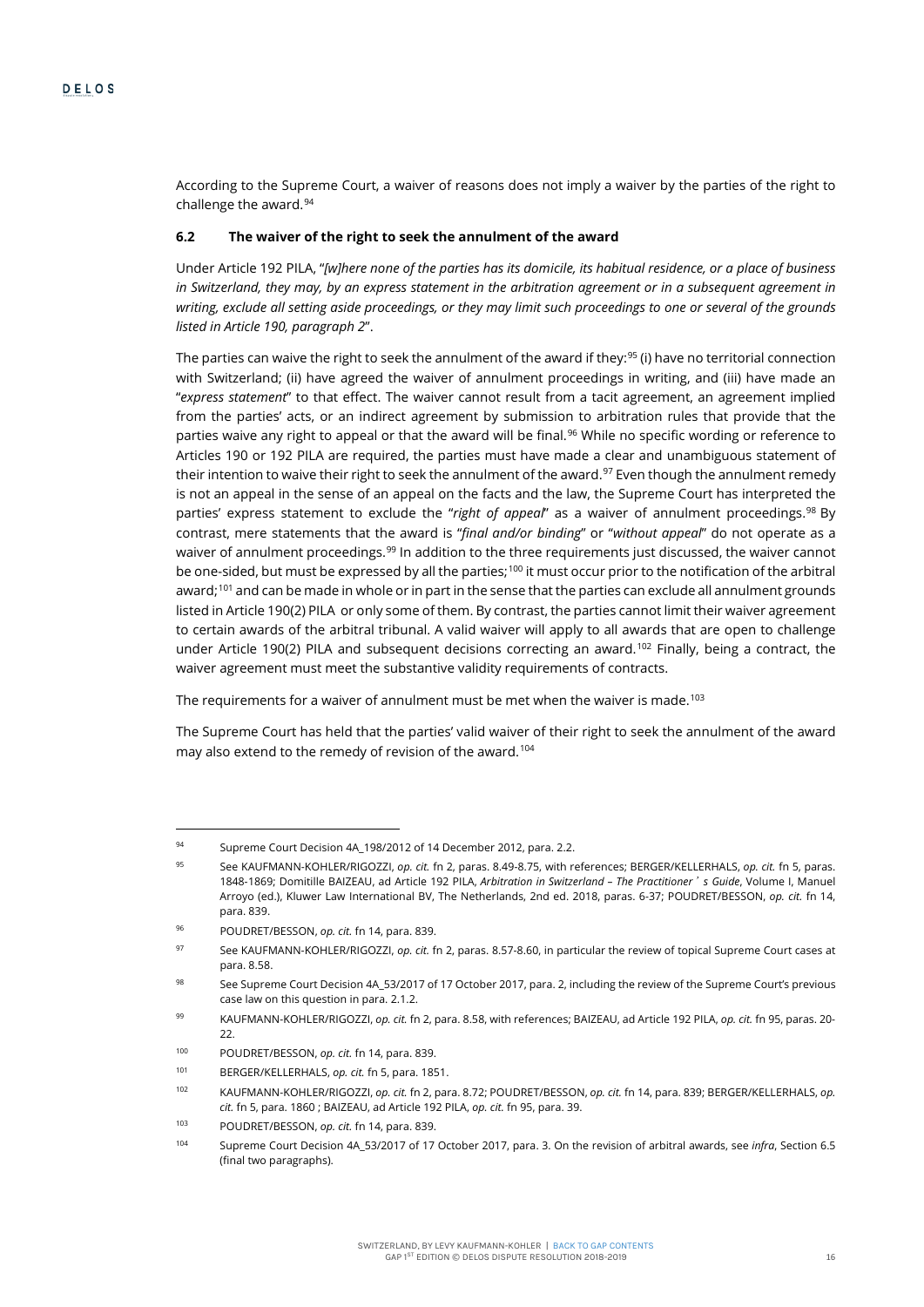According to the Supreme Court, a waiver of reasons does not imply a waiver by the parties of the right to challenge the award.<sup>[94](#page-16-1)</sup>

# **6.2 The waiver of the right to seek the annulment of the award**

Under Article 192 PILA, "*[w]here none of the parties has its domicile, its habitual residence, or a place of business in Switzerland, they may, by an express statement in the arbitration agreement or in a subsequent agreement in*  writing, exclude all setting aside proceedings, or they may limit such proceedings to one or several of the grounds *listed in Article 190, paragraph 2*".

<span id="page-16-0"></span>The parties can waive the right to seek the annulment of the award if they:<sup>[95](#page-16-2)</sup> (i) have no territorial connection with Switzerland; (ii) have agreed the waiver of annulment proceedings in writing, and (iii) have made an "*express statement*" to that effect. The waiver cannot result from a tacit agreement, an agreement implied from the parties' acts, or an indirect agreement by submission to arbitration rules that provide that the parties waive any right to appeal or that the award will be final.<sup>[96](#page-16-3)</sup> While no specific wording or reference to Articles 190 or 192 PILA are required, the parties must have made a clear and unambiguous statement of their intention to waive their right to seek the annulment of the award.<sup>[97](#page-16-4)</sup> Even though the annulment remedy is not an appeal in the sense of an appeal on the facts and the law, the Supreme Court has interpreted the parties' express statement to exclude the "*right of appeal*" as a waiver of annulment proceedings.[98](#page-16-5) By contrast, mere statements that the award is "*final and/or binding*" or "*without appeal*" do not operate as a waiver of annulment proceedings.<sup>[99](#page-16-6)</sup> In addition to the three requirements just discussed, the waiver cannot be one-sided, but must be expressed by all the parties:<sup>[100](#page-16-7)</sup> it must occur prior to the notification of the arbitral award;<sup>[101](#page-16-8)</sup> and can be made in whole or in part in the sense that the parties can exclude all annulment grounds listed in Article 190(2) PILA or only some of them. By contrast, the parties cannot limit their waiver agreement to certain awards of the arbitral tribunal. A valid waiver will apply to all awards that are open to challenge under Article 190(2) PILA and subsequent decisions correcting an award.<sup>[102](#page-16-9)</sup> Finally, being a contract, the waiver agreement must meet the substantive validity requirements of contracts.

The requirements for a waiver of annulment must be met when the waiver is made.<sup>[103](#page-16-10)</sup>

The Supreme Court has held that the parties' valid waiver of their right to seek the annulment of the award may also extend to the remedy of revision of the award.<sup>104</sup>

<span id="page-16-1"></span><sup>94</sup> Supreme Court Decision 4A\_198/2012 of 14 December 2012, para. 2.2.

<span id="page-16-2"></span><sup>95</sup> See KAUFMANN-KOHLER/RIGOZZI, *op. cit.* fn [2,](#page-1-3) paras. 8.49-8.75, with references; BERGER/KELLERHALS, *op. cit.* f[n 5,](#page-4-0) paras. 1848-1869; Domitille BAIZEAU, ad Article 192 PILA, *Arbitration in Switzerland – The Practitioner*'*s Guide*, Volume I, Manuel Arroyo (ed.), Kluwer Law International BV, The Netherlands, 2nd ed. 2018, paras. 6-37; POUDRET/BESSON, *op. cit.* fn [14,](#page-5-0)  para. 839.

<span id="page-16-3"></span><sup>96</sup> POUDRET/BESSON, *op. cit.* f[n 14,](#page-5-0) para. 839.

<span id="page-16-4"></span><sup>97</sup> See KAUFMANN-KOHLER/RIGOZZI, *op. cit.* f[n 2,](#page-1-3) paras. 8.57-8.60, in particular the review of topical Supreme Court cases at para. 8.58.

<span id="page-16-5"></span><sup>98</sup> See Supreme Court Decision 4A\_53/2017 of 17 October 2017, para. 2, including the review of the Supreme Court's previous case law on this question in para. 2.1.2.

<span id="page-16-6"></span><sup>99</sup> KAUFMANN-KOHLER/RIGOZZI, *op. cit.* f[n 2,](#page-1-3) para. 8.58, with references; BAIZEAU, ad Article 192 PILA, *op. cit.* f[n 95,](#page-16-0) paras. 20- 22.

<span id="page-16-7"></span><sup>100</sup> POUDRET/BESSON, *op. cit.* f[n 14,](#page-5-0) para. 839.

<sup>101</sup> BERGER/KELLERHALS, *op. cit.* f[n 5,](#page-4-0) para. 1851.

<span id="page-16-9"></span><span id="page-16-8"></span><sup>102</sup> KAUFMANN-KOHLER/RIGOZZI, *op. cit.* f[n 2,](#page-1-3) para. 8.72; POUDRET/BESSON, *op. cit.* f[n 14,](#page-5-0) para. 839; BERGER/KELLERHALS, *op. cit.* f[n 5,](#page-4-0) para. 1860 ; BAIZEAU, ad Article 192 PILA, *op. cit.* f[n 95,](#page-16-0) para. 39.

<span id="page-16-10"></span><sup>103</sup> POUDRET/BESSON, *op. cit.* f[n 14,](#page-5-0) para. 839.

<span id="page-16-11"></span><sup>104</sup> Supreme Court Decision 4A\_53/2017 of 17 October 2017, para. 3. On the revision of arbitral awards, see *infra*, Section 6.5 (final two paragraphs).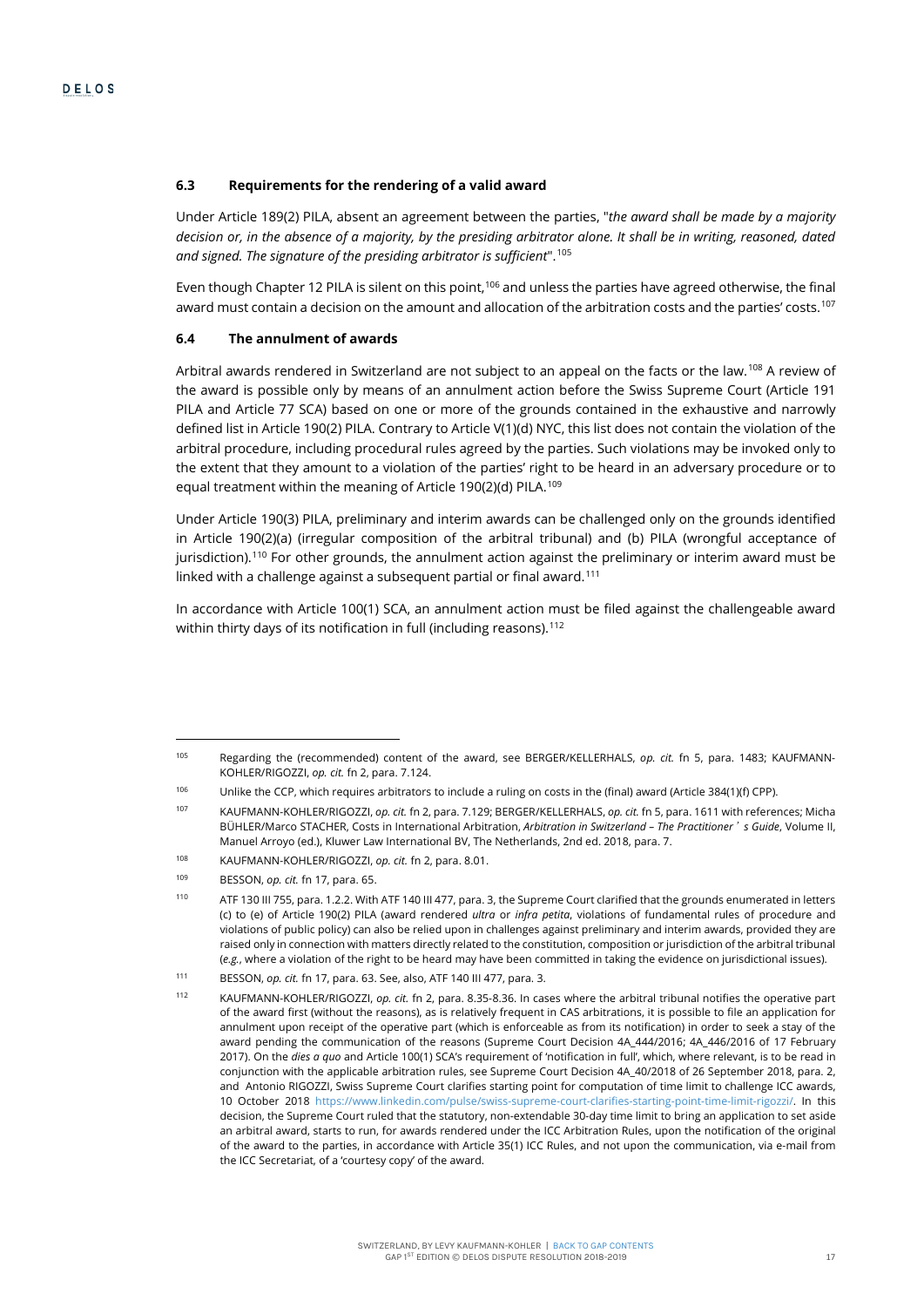# **6.3 Requirements for the rendering of a valid award**

Under Article 189(2) PILA, absent an agreement between the parties, "*the award shall be made by a majority decision or, in the absence of a majority, by the presiding arbitrator alone. It shall be in writing, reasoned, dated and signed. The signature of the presiding arbitrator is sufficient*".[105](#page-17-0)

Even though Chapter 12 PILA is silent on this point,<sup>[106](#page-17-1)</sup> and unless the parties have agreed otherwise, the final award must contain a decision on the amount and allocation of the arbitration costs and the parties' costs.<sup>107</sup>

### **6.4 The annulment of awards**

Arbitral awards rendered in Switzerland are not subject to an appeal on the facts or the law.<sup>[108](#page-17-3)</sup> A review of the award is possible only by means of an annulment action before the Swiss Supreme Court (Article 191 PILA and Article 77 SCA) based on one or more of the grounds contained in the exhaustive and narrowly defined list in Article 190(2) PILA. Contrary to Article V(1)(d) NYC, this list does not contain the violation of the arbitral procedure, including procedural rules agreed by the parties. Such violations may be invoked only to the extent that they amount to a violation of the parties' right to be heard in an adversary procedure or to equal treatment within the meaning of Article 190(2)(d) PILA.<sup>[109](#page-17-4)</sup>

Under Article 190(3) PILA, preliminary and interim awards can be challenged only on the grounds identified in Article 190(2)(a) (irregular composition of the arbitral tribunal) and (b) PILA (wrongful acceptance of jurisdiction).[110](#page-17-5) For other grounds, the annulment action against the preliminary or interim award must be linked with a challenge against a subsequent partial or final award.<sup>[111](#page-17-6)</sup>

In accordance with Article 100(1) SCA, an annulment action must be filed against the challengeable award within thirty days of its notification in full (including reasons).<sup>[112](#page-17-7)</sup>

<span id="page-17-0"></span><sup>105</sup> Regarding the (recommended) content of the award, see BERGER/KELLERHALS, *op. cit.* fn [5,](#page-4-0) para. 1483; KAUFMANN-KOHLER/RIGOZZI, *op. cit.* f[n 2,](#page-1-3) para. 7.124.

<span id="page-17-1"></span><sup>106</sup> Unlike the CCP, which requires arbitrators to include a ruling on costs in the (final) award (Article 384(1)(f) CPP).

<span id="page-17-2"></span><sup>107</sup> KAUFMANN-KOHLER/RIGOZZI, *op. cit.* f[n 2,](#page-1-3) para. 7.129; BERGER/KELLERHALS, *op. cit.* f[n 5,](#page-4-0) para. 1611 with references; Micha BÜHLER/Marco STACHER, Costs in International Arbitration, *Arbitration in Switzerland – The Practitioner*'*s Guide*, Volume II, Manuel Arroyo (ed.), Kluwer Law International BV, The Netherlands, 2nd ed. 2018, para. 7.

<span id="page-17-3"></span><sup>108</sup> KAUFMANN-KOHLER/RIGOZZI, *op. cit.* f[n 2,](#page-1-3) para. 8.01.

<sup>109</sup> BESSON, *op. cit.* f[n 17,](#page-6-0) para. 65.

<span id="page-17-5"></span><span id="page-17-4"></span><sup>110</sup> ATF 130 III 755, para. 1.2.2. With ATF 140 III 477, para. 3, the Supreme Court clarified that the grounds enumerated in letters (c) to (e) of Article 190(2) PILA (award rendered *ultra* or *infra petita*, violations of fundamental rules of procedure and violations of public policy) can also be relied upon in challenges against preliminary and interim awards, provided they are raised only in connection with matters directly related to the constitution, composition or jurisdiction of the arbitral tribunal (*e.g.*, where a violation of the right to be heard may have been committed in taking the evidence on jurisdictional issues).

<span id="page-17-6"></span><sup>111</sup> BESSON, *op. cit.* f[n 17,](#page-6-0) para. 63. See, also, ATF 140 III 477, para. 3.

<span id="page-17-7"></span><sup>112</sup> KAUFMANN-KOHLER/RIGOZZI, *op. cit.* f[n 2,](#page-1-3) para. 8.35-8.36. In cases where the arbitral tribunal notifies the operative part of the award first (without the reasons), as is relatively frequent in CAS arbitrations, it is possible to file an application for annulment upon receipt of the operative part (which is enforceable as from its notification) in order to seek a stay of the award pending the communication of the reasons (Supreme Court Decision 4A\_444/2016; 4A\_446/2016 of 17 February 2017). On the *dies a quo* and Article 100(1) SCA's requirement of 'notification in full', which, where relevant, is to be read in conjunction with the applicable arbitration rules, see Supreme Court Decision 4A\_40/2018 of 26 September 2018, para. 2, and Antonio RIGOZZI, Swiss Supreme Court clarifies starting point for computation of time limit to challenge ICC awards, 10 October 2018 https://www.linkedin.com/pulse/swiss-supreme-court-clarifies-starting-point-time-limit-rigozzi/. In this decision, the Supreme Court ruled that the statutory, non-extendable 30-day time limit to bring an application to set aside an arbitral award, starts to run, for awards rendered under the ICC Arbitration Rules, upon the notification of the original of the award to the parties, in accordance with Article 35(1) ICC Rules, and not upon the communication, via e-mail from the ICC Secretariat, of a 'courtesy copy' of the award.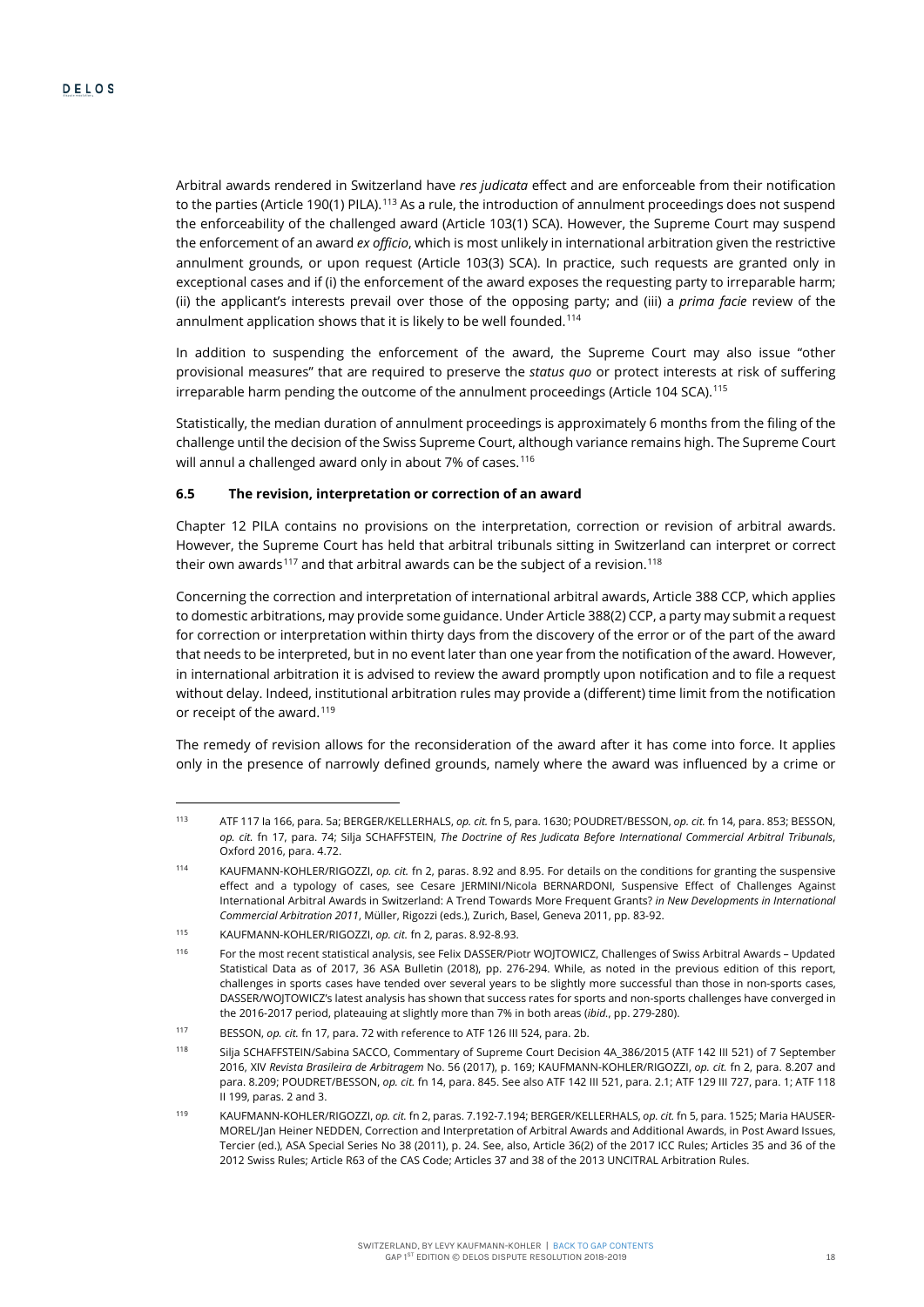Arbitral awards rendered in Switzerland have *res judicata* effect and are enforceable from their notification to the parties (Article 190(1) PILA).<sup>[113](#page-18-0)</sup> As a rule, the introduction of annulment proceedings does not suspend the enforceability of the challenged award (Article 103(1) SCA). However, the Supreme Court may suspend the enforcement of an award *ex officio*, which is most unlikely in international arbitration given the restrictive annulment grounds, or upon request (Article 103(3) SCA). In practice, such requests are granted only in exceptional cases and if (i) the enforcement of the award exposes the requesting party to irreparable harm; (ii) the applicant's interests prevail over those of the opposing party; and (iii) a *prima facie* review of the annulment application shows that it is likely to be well founded.<sup>[114](#page-18-1)</sup>

In addition to suspending the enforcement of the award, the Supreme Court may also issue "other provisional measures" that are required to preserve the *status quo* or protect interests at risk of suffering irreparable harm pending the outcome of the annulment proceedings (Article 104 SCA).<sup>[115](#page-18-2)</sup>

Statistically, the median duration of annulment proceedings is approximately 6 months from the filing of the challenge until the decision of the Swiss Supreme Court, although variance remains high. The Supreme Court will annul a challenged award only in about 7% of cases.<sup>116</sup>

#### **6.5 The revision, interpretation or correction of an award**

Chapter 12 PILA contains no provisions on the interpretation, correction or revision of arbitral awards. However, the Supreme Court has held that arbitral tribunals sitting in Switzerland can interpret or correct their own awards<sup>[117](#page-18-4)</sup> and that arbitral awards can be the subject of a revision.<sup>[118](#page-18-5)</sup>

<span id="page-18-7"></span>Concerning the correction and interpretation of international arbitral awards, Article 388 CCP, which applies to domestic arbitrations, may provide some guidance. Under Article 388(2) CCP, a party may submit a request for correction or interpretation within thirty days from the discovery of the error or of the part of the award that needs to be interpreted, but in no event later than one year from the notification of the award. However, in international arbitration it is advised to review the award promptly upon notification and to file a request without delay. Indeed, institutional arbitration rules may provide a (different) time limit from the notification or receipt of the award.<sup>[119](#page-18-6)</sup>

The remedy of revision allows for the reconsideration of the award after it has come into force. It applies only in the presence of narrowly defined grounds, namely where the award was influenced by a crime or

<span id="page-18-0"></span><sup>113</sup> ATF 117 Ia 166, para. 5a; BERGER/KELLERHALS, *op. cit.* f[n 5,](#page-4-0) para. 1630; POUDRET/BESSON, *op. cit.* fn [14,](#page-5-0) para. 853; BESSON, *op. cit.* fn [17,](#page-6-0) para. 74; Silja SCHAFFSTEIN, *The Doctrine of Res Judicata Before International Commercial Arbitral Tribunals*, Oxford 2016, para. 4.72.

<span id="page-18-1"></span><sup>114</sup> KAUFMANN-KOHLER/RIGOZZI, *op. cit.* f[n 2,](#page-1-3) paras. 8.92 and 8.95. For details on the conditions for granting the suspensive effect and a typology of cases, see Cesare JERMINI/Nicola BERNARDONI, Suspensive Effect of Challenges Against International Arbitral Awards in Switzerland: A Trend Towards More Frequent Grants? *in New Developments in International Commercial Arbitration 2011*, Müller, Rigozzi (eds.), Zurich, Basel, Geneva 2011, pp. 83-92.

<span id="page-18-2"></span><sup>115</sup> KAUFMANN-KOHLER/RIGOZZI, *op. cit.* f[n 2,](#page-1-3) paras. 8.92-8.93.

<span id="page-18-3"></span><sup>116</sup> For the most recent statistical analysis, see Felix DASSER/Piotr WOJTOWICZ, Challenges of Swiss Arbitral Awards – Updated Statistical Data as of 2017, 36 ASA Bulletin (2018), pp. 276-294. While, as noted in the previous edition of this report, challenges in sports cases have tended over several years to be slightly more successful than those in non-sports cases, DASSER/WOJTOWICZ's latest analysis has shown that success rates for sports and non-sports challenges have converged in the 2016-2017 period, plateauing at slightly more than 7% in both areas (*ibid.*, pp. 279-280).

<span id="page-18-4"></span><sup>117</sup> BESSON, *op. cit.* f[n 17,](#page-6-0) para. 72 with reference to ATF 126 III 524, para. 2b.

<span id="page-18-5"></span><sup>118</sup> Silja SCHAFFSTEIN/Sabina SACCO, Commentary of Supreme Court Decision 4A\_386/2015 (ATF 142 III 521) of 7 September 2016, XIV *Revista Brasileira de Arbitragem* No. 56 (2017), p. 169; KAUFMANN-KOHLER/RIGOZZI, *op. cit.* f[n 2,](#page-1-3) para. 8.207 and para. 8.209; POUDRET/BESSON, *op. cit.* fn [14,](#page-5-0) para. 845. See also ATF 142 III 521, para. 2.1; ATF 129 III 727, para. 1; ATF 118 II 199, paras. 2 and 3.

<span id="page-18-6"></span><sup>119</sup> KAUFMANN-KOHLER/RIGOZZI, *op. cit.* f[n 2,](#page-1-3) paras. 7.192-7.194; BERGER/KELLERHALS, *op. cit.* f[n 5,](#page-4-0) para. 1525; Maria HAUSER-MOREL/Jan Heiner NEDDEN, Correction and Interpretation of Arbitral Awards and Additional Awards, in Post Award Issues, Tercier (ed.), ASA Special Series No 38 (2011), p. 24. See, also, Article 36(2) of the 2017 ICC Rules; Articles 35 and 36 of the 2012 Swiss Rules; Article R63 of the CAS Code; Articles 37 and 38 of the 2013 UNCITRAL Arbitration Rules.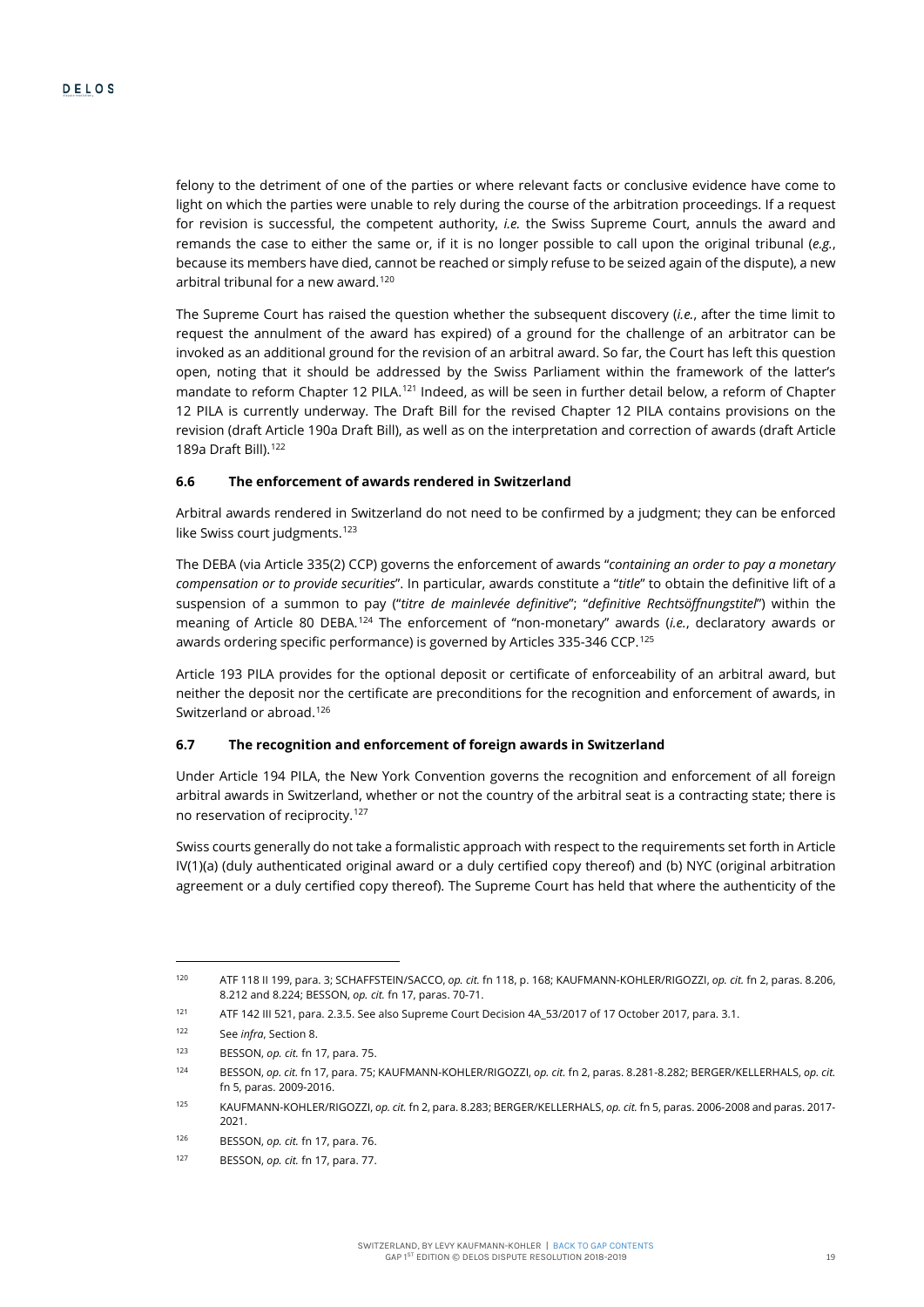felony to the detriment of one of the parties or where relevant facts or conclusive evidence have come to light on which the parties were unable to rely during the course of the arbitration proceedings. If a request for revision is successful, the competent authority, *i.e.* the Swiss Supreme Court, annuls the award and remands the case to either the same or, if it is no longer possible to call upon the original tribunal (*e.g.*, because its members have died, cannot be reached or simply refuse to be seized again of the dispute), a new arbitral tribunal for a new award.<sup>[120](#page-19-0)</sup>

The Supreme Court has raised the question whether the subsequent discovery (*i.e.*, after the time limit to request the annulment of the award has expired) of a ground for the challenge of an arbitrator can be invoked as an additional ground for the revision of an arbitral award. So far, the Court has left this question open, noting that it should be addressed by the Swiss Parliament within the framework of the latter's mandate to reform Chapter 12 PILA.<sup>[121](#page-19-1)</sup> Indeed, as will be seen in further detail below, a reform of Chapter 12 PILA is currently underway. The Draft Bill for the revised Chapter 12 PILA contains provisions on the revision (draft Article 190a Draft Bill), as well as on the interpretation and correction of awards (draft Article 189a Draft Bill).[122](#page-19-2)

# **6.6 The enforcement of awards rendered in Switzerland**

Arbitral awards rendered in Switzerland do not need to be confirmed by a judgment; they can be enforced like Swiss court judgments.<sup>[123](#page-19-3)</sup>

The DEBA (via Article 335(2) CCP) governs the enforcement of awards "*containing an order to pay a monetary compensation or to provide securities*". In particular, awards constitute a "*title*" to obtain the definitive lift of a suspension of a summon to pay ("*titre de mainlevée definitive*"; "*definitive Rechtsöffnungstitel*") within the meaning of Article 80 DEBA.[124](#page-19-4) The enforcement of "non-monetary" awards (*i.e.*, declaratory awards or awards ordering specific performance) is governed by Articles 335-346 CCP.<sup>[125](#page-19-5)</sup>

Article 193 PILA provides for the optional deposit or certificate of enforceability of an arbitral award, but neither the deposit nor the certificate are preconditions for the recognition and enforcement of awards, in Switzerland or abroad.<sup>[126](#page-19-6)</sup>

#### **6.7 The recognition and enforcement of foreign awards in Switzerland**

Under Article 194 PILA, the New York Convention governs the recognition and enforcement of all foreign arbitral awards in Switzerland, whether or not the country of the arbitral seat is a contracting state; there is no reservation of reciprocity.[127](#page-19-7)

Swiss courts generally do not take a formalistic approach with respect to the requirements set forth in Article IV(1)(a) (duly authenticated original award or a duly certified copy thereof) and (b) NYC (original arbitration agreement or a duly certified copy thereof). The Supreme Court has held that where the authenticity of the

<span id="page-19-0"></span><sup>120</sup> ATF 118 II 199, para. 3; SCHAFFSTEIN/SACCO, *op. cit.* f[n 118,](#page-18-7) p. 168; KAUFMANN-KOHLER/RIGOZZI, *op. cit.* f[n 2,](#page-1-3) paras. 8.206, 8.212 and 8.224; BESSON, *op. cit.* f[n 17,](#page-6-0) paras. 70-71.

<span id="page-19-1"></span><sup>121</sup> ATF 142 III 521, para. 2.3.5. See also Supreme Court Decision 4A\_53/2017 of 17 October 2017, para. 3.1.

<span id="page-19-2"></span><sup>122</sup> See *infra*, Section 8.

<sup>123</sup> BESSON, *op. cit.* f[n 17,](#page-6-0) para. 75.

<span id="page-19-4"></span><span id="page-19-3"></span><sup>124</sup> BESSON, *op. cit.* f[n 17,](#page-6-0) para. 75; KAUFMANN-KOHLER/RIGOZZI, *op. cit.* f[n 2,](#page-1-3) paras. 8.281-8.282; BERGER/KELLERHALS, *op. cit.*  f[n 5,](#page-4-0) paras. 2009-2016.

<span id="page-19-5"></span><sup>125</sup> KAUFMANN-KOHLER/RIGOZZI, *op. cit.* f[n 2,](#page-1-3) para. 8.283; BERGER/KELLERHALS, *op. cit.* f[n 5,](#page-4-0) paras. 2006-2008 and paras. 2017- 2021.

<span id="page-19-6"></span><sup>126</sup> BESSON, *op. cit.* f[n 17,](#page-6-0) para. 76.

<span id="page-19-7"></span><sup>127</sup> BESSON, *op. cit.* f[n 17,](#page-6-0) para. 77.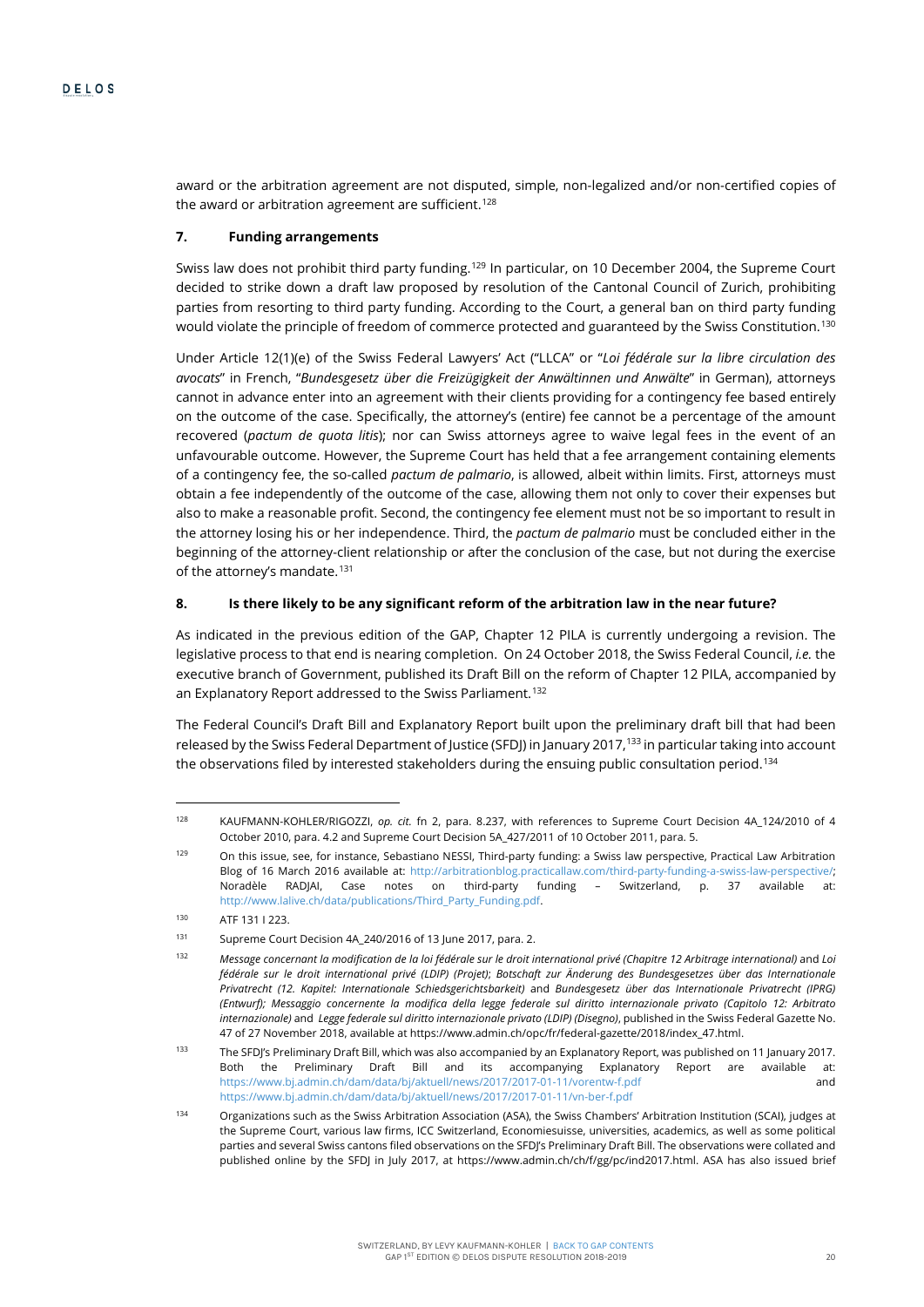award or the arbitration agreement are not disputed, simple, non-legalized and/or non-certified copies of the award or arbitration agreement are sufficient.<sup>[128](#page-20-0)</sup>

# **7. Funding arrangements**

Swiss law does not prohibit third party funding.<sup>[129](#page-20-1)</sup> In particular, on 10 December 2004, the Supreme Court decided to strike down a draft law proposed by resolution of the Cantonal Council of Zurich, prohibiting parties from resorting to third party funding. According to the Court, a general ban on third party funding would violate the principle of freedom of commerce protected and guaranteed by the Swiss Constitution.<sup>[130](#page-20-2)</sup>

Under Article 12(1)(e) of the Swiss Federal Lawyers' Act ("LLCA" or "*Loi fédérale sur la libre circulation des avocats*" in French, "*Bundesgesetz über die Freizügigkeit der Anwältinnen und Anwälte*" in German), attorneys cannot in advance enter into an agreement with their clients providing for a contingency fee based entirely on the outcome of the case. Specifically, the attorney's (entire) fee cannot be a percentage of the amount recovered (*pactum de quota litis*); nor can Swiss attorneys agree to waive legal fees in the event of an unfavourable outcome. However, the Supreme Court has held that a fee arrangement containing elements of a contingency fee, the so-called *pactum de palmario*, is allowed, albeit within limits. First, attorneys must obtain a fee independently of the outcome of the case, allowing them not only to cover their expenses but also to make a reasonable profit. Second, the contingency fee element must not be so important to result in the attorney losing his or her independence. Third, the *pactum de palmario* must be concluded either in the beginning of the attorney-client relationship or after the conclusion of the case, but not during the exercise of the attorney's mandate.<sup>[131](#page-20-3)</sup>

# **8. Is there likely to be any significant reform of the arbitration law in the near future?**

As indicated in the previous edition of the GAP, Chapter 12 PILA is currently undergoing a revision. The legislative process to that end is nearing completion. On 24 October 2018, the Swiss Federal Council, *i.e.* the executive branch of Government, published its Draft Bill on the reform of Chapter 12 PILA, accompanied by an Explanatory Report addressed to the Swiss Parliament. [132](#page-20-4)

The Federal Council's Draft Bill and Explanatory Report built upon the preliminary draft bill that had been released by the Swiss Federal Department of Justice (SFDJ) in January 2017,<sup>[133](#page-20-5)</sup> in particular taking into account the observations filed by interested stakeholders during the ensuing public consultation period. $^{134}$  $^{134}$  $^{134}$ 

<span id="page-20-0"></span><sup>128</sup> KAUFMANN-KOHLER/RIGOZZI, *op. cit.* fn [2,](#page-1-3) para. 8.237, with references to Supreme Court Decision 4A\_124/2010 of 4 October 2010, para. 4.2 and Supreme Court Decision 5A\_427/2011 of 10 October 2011, para. 5.

<span id="page-20-1"></span><sup>129</sup> On this issue, see, for instance, Sebastiano NESSI, Third-party funding: a Swiss law perspective, Practical Law Arbitration Blog of 16 March 2016 available at: http://arbitrationblog.practicallaw.com/third-party-funding-a-swiss-law-perspective/; Noradèle RADJAI, Case notes on third-party funding – Switzerland, p. 37 available at: http://www.lalive.ch/data/publications/Third\_Party\_Funding.pdf.

<span id="page-20-2"></span><sup>130</sup> ATF 131 I 223.

<span id="page-20-3"></span><sup>131</sup> Supreme Court Decision 4A\_240/2016 of 13 June 2017, para. 2.

<span id="page-20-4"></span><sup>132</sup> *Message concernant la modification de la loi fédérale sur le droit international privé (Chapitre 12 Arbitrage international)* and *Loi fédérale sur le droit international privé (LDIP) (Projet)*; *Botschaft zur Änderung des Bundesgesetzes über das Internationale Privatrecht (12. Kapitel: Internationale Schiedsgerichtsbarkeit)* and *Bundesgesetz über das Internationale Privatrecht (IPRG) (Entwurf); Messaggio concernente la modifica della legge federale sul diritto internazionale privato (Capitolo 12: Arbitrato internazionale)* and *Legge federale sul diritto internazionale privato (LDIP) (Disegno)*, published in the Swiss Federal Gazette No. 47 of 27 November 2018, available at https://www.admin.ch/opc/fr/federal-gazette/2018/index\_47.html.

<span id="page-20-5"></span><sup>133</sup> The SFDJ's Preliminary Draft Bill, which was also accompanied by an Explanatory Report, was published on 11 January 2017. Both the Preliminary Draft Bill and its accompanying Explanatory Report are available at: https://www.bj.admin.ch/dam/data/bj/aktuell/news/2017/2017-01-11/vorentw-f.pdf and https://www.bj.admin.ch/dam/data/bj/aktuell/news/2017/2017-01-11/vn-ber-f.pdf

<span id="page-20-6"></span><sup>134</sup> Organizations such as the Swiss Arbitration Association (ASA), the Swiss Chambers' Arbitration Institution (SCAI), judges at the Supreme Court, various law firms, ICC Switzerland, Economiesuisse, universities, academics, as well as some political parties and several Swiss cantons filed observations on the SFDJ's Preliminary Draft Bill. The observations were collated and published online by the SFDJ in July 2017, at https://www.admin.ch/ch/f/gg/pc/ind2017.html. ASA has also issued brief